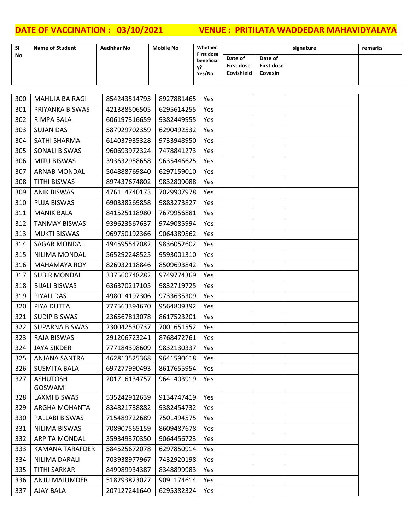| <b>SI</b> | <b>Name of Student</b> | Aadhhar No | <b>Mobile No</b> | Whether<br><b>First dose</b> |                                     |                                                | signature | remarks |
|-----------|------------------------|------------|------------------|------------------------------|-------------------------------------|------------------------------------------------|-----------|---------|
| <b>No</b> |                        |            |                  | beneficiar<br>v?<br>Yes/No   | Date of<br>First dose<br>Covishield | Date of<br><b>First dose</b><br><b>Covaxin</b> |           |         |

| 300 | <b>MAHUIA BAIRAGI</b>  | 854243514795 | 8927881465 | Yes |  |  |
|-----|------------------------|--------------|------------|-----|--|--|
| 301 | PRIYANKA BISWAS        | 421388506505 | 6295614255 | Yes |  |  |
| 302 | RIMPA BALA             | 606197316659 | 9382449955 | Yes |  |  |
| 303 | <b>SUJAN DAS</b>       | 587929702359 | 6290492532 | Yes |  |  |
| 304 | SATHI SHARMA           | 614037935328 | 9733948950 | Yes |  |  |
| 305 | SONALI BISWAS          | 960693972324 | 7478841273 | Yes |  |  |
| 306 | <b>MITU BISWAS</b>     | 393632958658 | 9635446625 | Yes |  |  |
| 307 | <b>ARNAB MONDAL</b>    | 504888769840 | 6297159010 | Yes |  |  |
| 308 | <b>TITHI BISWAS</b>    | 897437674802 | 9832809088 | Yes |  |  |
| 309 | <b>ANIK BISWAS</b>     | 476114740173 | 7029907978 | Yes |  |  |
| 310 | PUJA BISWAS            | 690338269858 | 9883273827 | Yes |  |  |
| 311 | <b>MANIK BALA</b>      | 841525118980 | 7679956881 | Yes |  |  |
| 312 | <b>TANMAY BISWAS</b>   | 939623567637 | 9749085994 | Yes |  |  |
| 313 | <b>MUKTI BISWAS</b>    | 969750192366 | 9064389562 | Yes |  |  |
| 314 | SAGAR MONDAL           | 494595547082 | 9836052602 | Yes |  |  |
| 315 | NILIMA MONDAL          | 565292248525 | 9593001310 | Yes |  |  |
| 316 | <b>MAHAMAYA ROY</b>    | 826932118846 | 8509693842 | Yes |  |  |
| 317 | <b>SUBIR MONDAL</b>    | 337560748282 | 9749774369 | Yes |  |  |
| 318 | <b>BIJALI BISWAS</b>   | 636370217105 | 9832719725 | Yes |  |  |
| 319 | PIYALI DAS             | 498014197306 | 9733635309 | Yes |  |  |
| 320 | PIYA DUTTA             | 777563394670 | 9564809392 | Yes |  |  |
| 321 | <b>SUDIP BISWAS</b>    | 236567813078 | 8617523201 | Yes |  |  |
| 322 | <b>SUPARNA BISWAS</b>  | 230042530737 | 7001651552 | Yes |  |  |
| 323 | <b>RAJA BISWAS</b>     | 291206723241 | 8768472761 | Yes |  |  |
| 324 | <b>JAYA SIKDER</b>     | 777184398609 | 9832130337 | Yes |  |  |
| 325 | <b>ANJANA SANTRA</b>   | 462813525368 | 9641590618 | Yes |  |  |
| 326 | <b>SUSMITA BALA</b>    | 697277990493 | 8617655954 | Yes |  |  |
| 327 | <b>ASHUTOSH</b>        | 201716134757 | 9641403919 | Yes |  |  |
|     | <b>GOSWAMI</b>         |              |            |     |  |  |
| 328 | LAXMI BISWAS           | 535242912639 | 9134747419 | Yes |  |  |
| 329 | ARGHA MOHANTA          | 834821738882 | 9382454732 | Yes |  |  |
| 330 | PALLABI BISWAS         | 715489722689 | 7501494575 | Yes |  |  |
| 331 | NILIMA BISWAS          | 708907565159 | 8609487678 | Yes |  |  |
| 332 | <b>ARPITA MONDAL</b>   | 359349370350 | 9064456723 | Yes |  |  |
| 333 | <b>KAMANA TARAFDER</b> | 584525672078 | 6297850914 | Yes |  |  |
| 334 | NILIMA DARALI          | 703938977967 | 7432920198 | Yes |  |  |
| 335 | <b>TITHI SARKAR</b>    | 849989934387 | 8348899983 | Yes |  |  |
| 336 | ANJU MAJUMDER          | 518293823027 | 9091174614 | Yes |  |  |
| 337 | AJAY BALA              | 207127241640 | 6295382324 | Yes |  |  |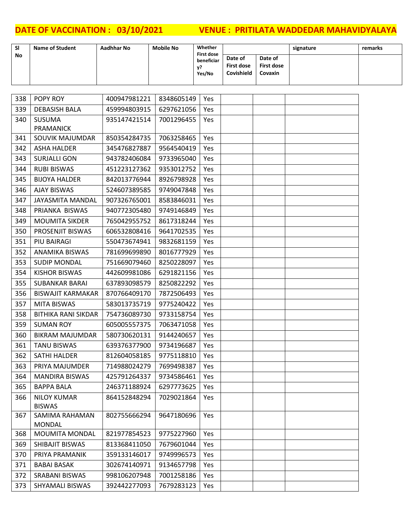| <b>SI</b> | <b>Name of Student</b> | Aadhhar No | <b>Mobile No</b> | Whether<br><b>First dose</b> |                                     |                                         | signature | remarks |
|-----------|------------------------|------------|------------------|------------------------------|-------------------------------------|-----------------------------------------|-----------|---------|
| <b>No</b> |                        |            |                  | beneficiar<br>v?<br>Yes/No   | Date of<br>First dose<br>Covishield | Date of<br><b>First dose</b><br>Covaxin |           |         |

| 338 | POPY ROY                            | 400947981221 | 8348605149 | Yes        |  |  |
|-----|-------------------------------------|--------------|------------|------------|--|--|
| 339 | <b>DEBASISH BALA</b>                | 459994803915 | 6297621056 | Yes        |  |  |
| 340 | <b>SUSUMA</b>                       | 935147421514 | 7001296455 | Yes        |  |  |
|     | <b>PRAMANICK</b>                    |              |            |            |  |  |
| 341 | SOUVIK MAJUMDAR                     | 850354284735 | 7063258465 | Yes        |  |  |
| 342 | <b>ASHA HALDER</b>                  | 345476827887 | 9564540419 | Yes        |  |  |
| 343 | <b>SURJALLI GON</b>                 | 943782406084 | 9733965040 | Yes        |  |  |
| 344 | <b>RUBI BISWAS</b>                  | 451223127362 | 9353012752 | Yes        |  |  |
| 345 | <b>BIJOYA HALDER</b>                | 842013776944 | 8926798928 | Yes        |  |  |
| 346 | <b>AJAY BISWAS</b>                  | 524607389585 | 9749047848 | Yes        |  |  |
| 347 | <b>JAYASMITA MANDAL</b>             | 907326765001 | 8583846031 | Yes        |  |  |
| 348 | PRIANKA BISWAS                      | 940772305480 | 9749146849 | Yes        |  |  |
| 349 | <b>MOUMITA SIKDER</b>               | 765042955752 | 8617318244 | Yes        |  |  |
| 350 | PROSENJIT BISWAS                    | 606532808416 | 9641702535 | <b>Yes</b> |  |  |
| 351 | PIU BAIRAGI                         | 550473674941 | 9832681159 | Yes        |  |  |
| 352 | <b>ANAMIKA BISWAS</b>               | 781699699890 | 8016777929 | Yes        |  |  |
| 353 | <b>SUDIP MONDAL</b>                 | 751669079460 | 8250228097 | Yes        |  |  |
| 354 | <b>KISHOR BISWAS</b>                | 442609981086 | 6291821156 | Yes        |  |  |
| 355 | <b>SUBANKAR BARAI</b>               | 637893098579 | 8250822292 | Yes        |  |  |
| 356 | <b>BISWAJIT KARMAKAR</b>            | 870766409170 | 7872506493 | Yes        |  |  |
| 357 | <b>MITA BISWAS</b>                  | 583013735719 | 9775240422 | Yes        |  |  |
| 358 | <b>BITHIKA RANI SIKDAR</b>          | 754736089730 | 9733158754 | Yes        |  |  |
| 359 | <b>SUMAN ROY</b>                    | 605005557375 | 7063471058 | Yes        |  |  |
| 360 | <b>BIKRAM MAJUMDAR</b>              | 580730620131 | 9144240657 | Yes        |  |  |
| 361 | <b>TANU BISWAS</b>                  | 639376377900 | 9734196687 | Yes        |  |  |
| 362 | <b>SATHI HALDER</b>                 | 812604058185 | 9775118810 | <b>Yes</b> |  |  |
| 363 | PRIYA MAJUMDER                      | 714988024279 | 7699498387 | Yes        |  |  |
| 364 | <b>MANDIRA BISWAS</b>               | 425791264337 | 9734586461 | Yes        |  |  |
| 365 | <b>BAPPA BALA</b>                   | 246371188924 | 6297773625 | Yes        |  |  |
| 366 | <b>NILOY KUMAR</b><br><b>BISWAS</b> | 864152848294 | 7029021864 | Yes        |  |  |
| 367 | SAMIMA RAHAMAN<br><b>MONDAL</b>     | 802755666294 | 9647180696 | Yes        |  |  |
| 368 | <b>MOUMITA MONDAL</b>               | 821977854523 | 9775227960 | Yes        |  |  |
| 369 | SHIBAJIT BISWAS                     | 813368411050 | 7679601044 | Yes        |  |  |
| 370 | PRIYA PRAMANIK                      | 359133146017 | 9749996573 | Yes        |  |  |
| 371 | <b>BABAI BASAK</b>                  | 302674140971 | 9134657798 | Yes        |  |  |
| 372 | <b>SRABANI BISWAS</b>               | 998106207948 | 7001258186 | Yes        |  |  |
| 373 | SHYAMALI BISWAS                     | 392442277093 | 7679283123 | Yes        |  |  |
|     |                                     |              |            |            |  |  |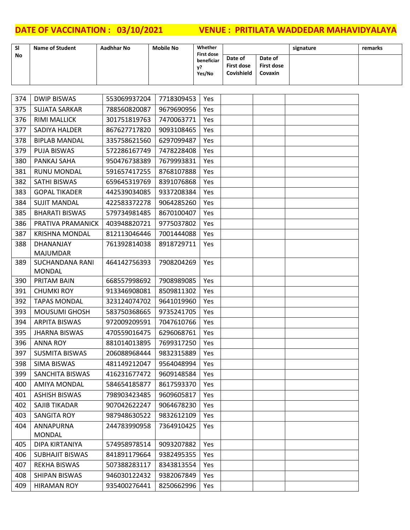| <b>SI</b> | <b>Name of Student</b> | Aadhhar No | <b>Mobile No</b> | Whether<br><b>First dose</b> |                                            |                                                | signature | remarks |
|-----------|------------------------|------------|------------------|------------------------------|--------------------------------------------|------------------------------------------------|-----------|---------|
| No        |                        |            |                  | beneficiar<br>v?<br>Yes/No   | Date of<br>First dose<br><b>Covishield</b> | Date of<br><b>First dose</b><br><b>Covaxin</b> |           |         |

| 374 | <b>DWIP BISWAS</b>              | 553069937204 | 7718309453       | Yes        |  |  |
|-----|---------------------------------|--------------|------------------|------------|--|--|
| 375 | <b>SUJATA SARKAR</b>            | 788560820087 | 9679690956       | Yes        |  |  |
| 376 | <b>RIMI MALLICK</b>             | 301751819763 | 7470063771       | Yes        |  |  |
| 377 | SADIYA HALDER                   | 867627717820 | 9093108465       | Yes        |  |  |
| 378 | <b>BIPLAB MANDAL</b>            | 335758621560 | 6297099487       | Yes        |  |  |
| 379 | <b>PUJA BISWAS</b>              | 572286167749 | 7478228408       | Yes        |  |  |
| 380 | PANKAJ SAHA                     | 950476738389 | 7679993831       | Yes        |  |  |
| 381 | <b>RUNU MONDAL</b>              | 591657417255 | 8768107888       | Yes        |  |  |
| 382 | <b>SATHI BISWAS</b>             | 659645319769 | 8391076868       | Yes        |  |  |
| 383 | <b>GOPAL TIKADER</b>            | 442539034085 | 9337208384       | Yes        |  |  |
| 384 | <b>SUJIT MANDAL</b>             | 422583372278 | 9064285260       | Yes        |  |  |
| 385 | <b>BHARATI BISWAS</b>           | 579734981485 | 8670100407       | Yes        |  |  |
| 386 | PRATIVA PRAMANICK               | 403948820721 | 9775037802       | Yes        |  |  |
| 387 | <b>KRISHNA MONDAL</b>           | 812113046446 | 7001444088       | Yes        |  |  |
| 388 | DHANANJAY                       | 761392814038 | 8918729711       | Yes        |  |  |
|     | <b>MAJUMDAR</b>                 |              |                  |            |  |  |
| 389 | <b>SUCHANDANA RANI</b>          | 464142756393 | 7908204269       | Yes        |  |  |
|     | <b>MONDAL</b>                   |              |                  |            |  |  |
| 390 | PRITAM BAIN                     | 668557998692 | 7908989085       | Yes        |  |  |
| 391 | <b>CHUMKI ROY</b>               | 913346908081 | 8509811302       | Yes        |  |  |
| 392 | <b>TAPAS MONDAL</b>             | 323124074702 | 9641019960       | Yes        |  |  |
| 393 | <b>MOUSUMI GHOSH</b>            | 583750368665 | 9735241705       | Yes        |  |  |
| 394 | <b>ARPITA BISWAS</b>            | 972009209591 | 7047610766       | <b>Yes</b> |  |  |
| 395 | <b>JHARNA BISWAS</b>            | 470559016475 | 6296068761       | Yes        |  |  |
| 396 | <b>ANNA ROY</b>                 | 881014013895 | 7699317250       | Yes        |  |  |
| 397 | <b>SUSMITA BISWAS</b>           | 206088968444 | 9832315889       | Yes        |  |  |
| 398 | <b>SIMA BISWAS</b>              | 481149212047 | 9564048994       | Yes        |  |  |
| 399 | <b>SANCHITA BISWAS</b>          | 416231677472 | 9609148584       | Yes        |  |  |
| 400 | <b>AMIYA MONDAL</b>             | 584654185877 | 8617593370       | Yes        |  |  |
| 401 | <b>ASHISH BISWAS</b>            | 798903423485 | 9609605817   Yes |            |  |  |
| 402 | SAJIB TIKADAR                   | 907042622247 | 9064678230       | Yes        |  |  |
| 403 | SANGITA ROY                     | 987948630522 | 9832612109       | Yes        |  |  |
| 404 | ANNAPURNA                       | 244783990958 | 7364910425       | Yes        |  |  |
| 405 | <b>MONDAL</b><br>DIPA KIRTANIYA | 574958978514 | 9093207882       | Yes        |  |  |
| 406 | <b>SUBHAJIT BISWAS</b>          | 841891179664 | 9382495355       | Yes        |  |  |
|     |                                 |              | 8343813554       |            |  |  |
| 407 | <b>REKHA BISWAS</b>             | 507388283117 |                  | Yes        |  |  |
| 408 | SHIPAN BISWAS                   | 946030122432 | 9382067849       | Yes        |  |  |
| 409 | <b>HIRAMAN ROY</b>              | 935400276441 | 8250662996       | Yes        |  |  |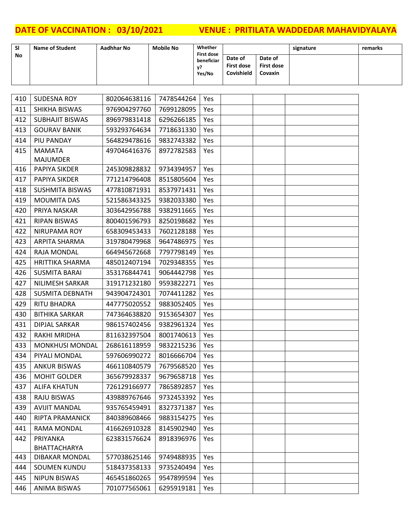| <b>SI</b> | <b>Name of Student</b> | Aadhhar No | <b>Mobile No</b> | Whether<br><b>First dose</b> |                                     |                                         | signature | remarks |
|-----------|------------------------|------------|------------------|------------------------------|-------------------------------------|-----------------------------------------|-----------|---------|
| <b>No</b> |                        |            |                  | beneficiar<br>v?<br>Yes/No   | Date of<br>First dose<br>Covishield | Date of<br>First dose<br><b>Covaxin</b> |           |         |

| 410 | <b>SUDESNA ROY</b>     | 802064638116 | 7478544264 | Yes        |  |  |
|-----|------------------------|--------------|------------|------------|--|--|
| 411 | SHIKHA BISWAS          | 976904297760 | 7699128095 | Yes        |  |  |
| 412 | <b>SUBHAJIT BISWAS</b> | 896979831418 | 6296266185 | Yes        |  |  |
| 413 | <b>GOURAV BANIK</b>    | 593293764634 | 7718631330 | Yes        |  |  |
| 414 | PIU PANDAY             | 564829478616 | 9832743382 | Yes        |  |  |
| 415 | <b>MAMATA</b>          | 497046416376 | 8972782583 | Yes        |  |  |
|     | <b>MAJUMDER</b>        |              |            |            |  |  |
| 416 | PAPIYA SIKDER          | 245309828832 | 9734394957 | Yes        |  |  |
| 417 | PAPIYA SIKDER          | 771214796408 | 8515805604 | Yes        |  |  |
| 418 | <b>SUSHMITA BISWAS</b> | 477810871931 | 8537971431 | Yes        |  |  |
| 419 | <b>MOUMITA DAS</b>     | 521586343325 | 9382033380 | Yes        |  |  |
| 420 | PRIYA NASKAR           | 303642956788 | 9382911665 | Yes        |  |  |
| 421 | RIPAN BISWAS           | 800401596793 | 8250198682 | Yes        |  |  |
| 422 | NIRUPAMA ROY           | 658309453433 | 7602128188 | Yes        |  |  |
| 423 | <b>ARPITA SHARMA</b>   | 319780479968 | 9647486975 | Yes        |  |  |
| 424 | RAJA MONDAL            | 664945672668 | 7797798149 | Yes        |  |  |
| 425 | <b>HRITTIKA SHARMA</b> | 485012407194 | 7029348355 | Yes        |  |  |
| 426 | <b>SUSMITA BARAI</b>   | 353176844741 | 9064442798 | Yes        |  |  |
| 427 | NILIMESH SARKAR        | 319171232180 | 9593822271 | <b>Yes</b> |  |  |
| 428 | <b>SUSMITA DEBNATH</b> | 943904724301 | 7074411282 | Yes        |  |  |
| 429 | <b>RITU BHADRA</b>     | 447775020552 | 9883052405 | Yes        |  |  |
| 430 | <b>BITHIKA SARKAR</b>  | 747364638820 | 9153654307 | Yes        |  |  |
| 431 | <b>DIPJAL SARKAR</b>   | 986157402456 | 9382961324 | Yes        |  |  |
| 432 | RAKHI MRIDHA           | 811632397504 | 8001740613 | Yes        |  |  |
| 433 | <b>MONKHUSI MONDAL</b> | 268616118959 | 9832215236 | Yes        |  |  |
| 434 | PIYALI MONDAL          | 597606990272 | 8016666704 | Yes        |  |  |
| 435 | <b>ANKUR BISWAS</b>    | 466110840579 | 7679568520 | Yes        |  |  |
| 436 | <b>MOHIT GOLDER</b>    | 365679928337 | 9679658718 | Yes        |  |  |
| 437 | <b>ALIFA KHATUN</b>    | 726129166977 | 7865892857 | Yes        |  |  |
| 438 | <b>RAJU BISWAS</b>     | 439889767646 | 9732453392 | Yes        |  |  |
| 439 | <b>AVIJIT MANDAL</b>   | 935765459491 | 8327371387 | Yes        |  |  |
| 440 | <b>RIPTA PRAMANICK</b> | 840389608466 | 9883154275 | Yes        |  |  |
| 441 | RAMA MONDAL            | 416626910328 | 8145902940 | Yes        |  |  |
| 442 | PRIYANKA               | 623831576624 | 8918396976 | Yes        |  |  |
|     | BHATTACHARYA           |              |            |            |  |  |
| 443 | <b>DIBAKAR MONDAL</b>  | 577038625146 | 9749488935 | Yes        |  |  |
| 444 | <b>SOUMEN KUNDU</b>    | 518437358133 | 9735240494 | Yes        |  |  |
| 445 | <b>NIPUN BISWAS</b>    | 465451860265 | 9547899594 | Yes        |  |  |
| 446 | ANIMA BISWAS           | 701077565061 | 6295919181 | Yes        |  |  |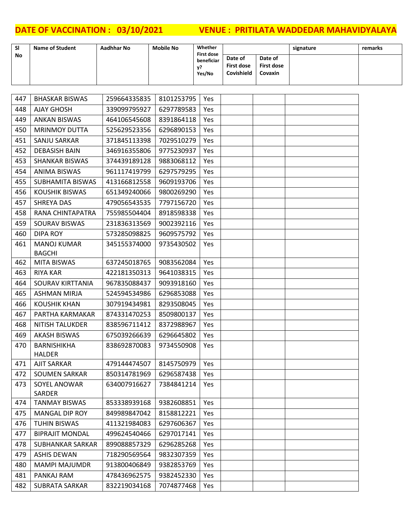| <b>SI</b> | <b>Name of Student</b> | Aadhhar No | <b>Mobile No</b> | Whether<br><b>First dose</b> |                                     |                                                | signature | remarks |
|-----------|------------------------|------------|------------------|------------------------------|-------------------------------------|------------------------------------------------|-----------|---------|
| No        |                        |            |                  | beneficiar<br>V?<br>Yes/No   | Date of<br>First dose<br>Covishield | Date of<br><b>First dose</b><br><b>Covaxin</b> |           |         |

| 448<br><b>AJAY GHOSH</b><br>339099795927<br>6297789583<br>Yes<br>449<br><b>ANKAN BISWAS</b><br>464106545608<br>8391864118<br>Yes<br><b>MRINMOY DUTTA</b><br>450<br>525629523356<br>6296890153<br>Yes<br>451<br>SANJU SARKAR<br>371845113398<br>7029510279<br>Yes<br>452<br><b>DEBASISH BAIN</b><br>346916355806<br>9775230937<br>Yes<br>453<br><b>SHANKAR BISWAS</b><br>374439189128<br>9883068112<br><b>Yes</b><br>454<br><b>ANIMA BISWAS</b><br>961117419799<br>6297579295<br>Yes<br>455<br><b>SUBHAMITA BISWAS</b><br>413166812558<br>9609193706<br>Yes<br><b>KOUSHIK BISWAS</b><br>651349240066<br>9800269290<br>456<br>Yes<br>457<br><b>SHREYA DAS</b><br>479056543535<br>7797156720<br>Yes<br>458<br>RANA CHINTAPATRA<br>8918598338<br>755985504404<br>Yes<br>459<br>SOURAV BISWAS<br>231836313569<br>9002392116<br><b>Yes</b><br>460<br><b>DIPA ROY</b><br>573285098825<br>9609575792<br>Yes<br>461<br><b>MANOJ KUMAR</b><br>345155374000<br>9735430502<br>Yes<br><b>BAGCHI</b><br>637245018765<br>462<br><b>MITA BISWAS</b><br>9083562084<br>Yes<br>463<br><b>RIYA KAR</b><br>422181350313<br>9641038315<br>Yes<br>464<br>SOURAV KIRTTANIA<br>967835088437<br>9093918160<br>Yes<br>465<br>524594534986<br>6296853088<br><b>ASHMAN MIRJA</b><br>Yes<br>466<br><b>KOUSHIK KHAN</b><br>307919434981<br>8293508045<br>Yes<br>467<br>PARTHA KARMAKAR<br>874331470253<br>8509800137<br>Yes<br>468<br><b>NITISH TALUKDER</b><br>838596711412<br>8372988967<br>Yes<br>469<br><b>AKASH BISWAS</b><br>675039266639<br>6296645802<br>Yes<br>BARNISHIKHA<br>470<br>838692870083<br>9734550908<br>Yes<br><b>HALDER</b><br>479144474507<br>8145750979<br>471<br><b>AJIT SARKAR</b><br>Yes<br>472<br>SOUMEN SARKAR<br>6296587438<br>850314781969<br>Yes<br>473<br>SOYEL ANOWAR<br>634007916627<br>7384841214<br>Yes<br>SARDER<br>9382608851<br>474<br><b>TANMAY BISWAS</b><br>853338939168<br>Yes<br>8158812221<br>475<br><b>MANGAL DIP ROY</b><br>849989847042<br>Yes<br>476<br>TUHIN BISWAS<br>411321984083<br>6297606367<br>Yes<br>477<br><b>BIPRAJIT MONDAL</b><br>499624540466<br>6297017141<br>Yes<br><b>SUBHANKAR SARKAR</b><br>899088857329<br>6296285268<br>478<br>Yes<br><b>ASHIS DEWAN</b><br>718290569564<br>9832307359<br>479<br>Yes<br>480<br><b>MAMPI MAJUMDR</b><br>913800406849<br>9382853769<br>Yes<br>481<br>PANKAJ RAM<br>9382452330<br>478436962575<br>Yes<br>482<br><b>SUBRATA SARKAR</b><br>832219034168<br>7074877468<br>Yes | 447 | <b>BHASKAR BISWAS</b> | 259664335835 | 8101253795 | Yes |  |  |
|-----------------------------------------------------------------------------------------------------------------------------------------------------------------------------------------------------------------------------------------------------------------------------------------------------------------------------------------------------------------------------------------------------------------------------------------------------------------------------------------------------------------------------------------------------------------------------------------------------------------------------------------------------------------------------------------------------------------------------------------------------------------------------------------------------------------------------------------------------------------------------------------------------------------------------------------------------------------------------------------------------------------------------------------------------------------------------------------------------------------------------------------------------------------------------------------------------------------------------------------------------------------------------------------------------------------------------------------------------------------------------------------------------------------------------------------------------------------------------------------------------------------------------------------------------------------------------------------------------------------------------------------------------------------------------------------------------------------------------------------------------------------------------------------------------------------------------------------------------------------------------------------------------------------------------------------------------------------------------------------------------------------------------------------------------------------------------------------------------------------------------------------------------------------------------------------------------------------------------------------------------------------------------------------------------------------------------------------------------------------------------------------------------------------------------------------------|-----|-----------------------|--------------|------------|-----|--|--|
|                                                                                                                                                                                                                                                                                                                                                                                                                                                                                                                                                                                                                                                                                                                                                                                                                                                                                                                                                                                                                                                                                                                                                                                                                                                                                                                                                                                                                                                                                                                                                                                                                                                                                                                                                                                                                                                                                                                                                                                                                                                                                                                                                                                                                                                                                                                                                                                                                                               |     |                       |              |            |     |  |  |
|                                                                                                                                                                                                                                                                                                                                                                                                                                                                                                                                                                                                                                                                                                                                                                                                                                                                                                                                                                                                                                                                                                                                                                                                                                                                                                                                                                                                                                                                                                                                                                                                                                                                                                                                                                                                                                                                                                                                                                                                                                                                                                                                                                                                                                                                                                                                                                                                                                               |     |                       |              |            |     |  |  |
|                                                                                                                                                                                                                                                                                                                                                                                                                                                                                                                                                                                                                                                                                                                                                                                                                                                                                                                                                                                                                                                                                                                                                                                                                                                                                                                                                                                                                                                                                                                                                                                                                                                                                                                                                                                                                                                                                                                                                                                                                                                                                                                                                                                                                                                                                                                                                                                                                                               |     |                       |              |            |     |  |  |
|                                                                                                                                                                                                                                                                                                                                                                                                                                                                                                                                                                                                                                                                                                                                                                                                                                                                                                                                                                                                                                                                                                                                                                                                                                                                                                                                                                                                                                                                                                                                                                                                                                                                                                                                                                                                                                                                                                                                                                                                                                                                                                                                                                                                                                                                                                                                                                                                                                               |     |                       |              |            |     |  |  |
|                                                                                                                                                                                                                                                                                                                                                                                                                                                                                                                                                                                                                                                                                                                                                                                                                                                                                                                                                                                                                                                                                                                                                                                                                                                                                                                                                                                                                                                                                                                                                                                                                                                                                                                                                                                                                                                                                                                                                                                                                                                                                                                                                                                                                                                                                                                                                                                                                                               |     |                       |              |            |     |  |  |
|                                                                                                                                                                                                                                                                                                                                                                                                                                                                                                                                                                                                                                                                                                                                                                                                                                                                                                                                                                                                                                                                                                                                                                                                                                                                                                                                                                                                                                                                                                                                                                                                                                                                                                                                                                                                                                                                                                                                                                                                                                                                                                                                                                                                                                                                                                                                                                                                                                               |     |                       |              |            |     |  |  |
|                                                                                                                                                                                                                                                                                                                                                                                                                                                                                                                                                                                                                                                                                                                                                                                                                                                                                                                                                                                                                                                                                                                                                                                                                                                                                                                                                                                                                                                                                                                                                                                                                                                                                                                                                                                                                                                                                                                                                                                                                                                                                                                                                                                                                                                                                                                                                                                                                                               |     |                       |              |            |     |  |  |
|                                                                                                                                                                                                                                                                                                                                                                                                                                                                                                                                                                                                                                                                                                                                                                                                                                                                                                                                                                                                                                                                                                                                                                                                                                                                                                                                                                                                                                                                                                                                                                                                                                                                                                                                                                                                                                                                                                                                                                                                                                                                                                                                                                                                                                                                                                                                                                                                                                               |     |                       |              |            |     |  |  |
|                                                                                                                                                                                                                                                                                                                                                                                                                                                                                                                                                                                                                                                                                                                                                                                                                                                                                                                                                                                                                                                                                                                                                                                                                                                                                                                                                                                                                                                                                                                                                                                                                                                                                                                                                                                                                                                                                                                                                                                                                                                                                                                                                                                                                                                                                                                                                                                                                                               |     |                       |              |            |     |  |  |
|                                                                                                                                                                                                                                                                                                                                                                                                                                                                                                                                                                                                                                                                                                                                                                                                                                                                                                                                                                                                                                                                                                                                                                                                                                                                                                                                                                                                                                                                                                                                                                                                                                                                                                                                                                                                                                                                                                                                                                                                                                                                                                                                                                                                                                                                                                                                                                                                                                               |     |                       |              |            |     |  |  |
|                                                                                                                                                                                                                                                                                                                                                                                                                                                                                                                                                                                                                                                                                                                                                                                                                                                                                                                                                                                                                                                                                                                                                                                                                                                                                                                                                                                                                                                                                                                                                                                                                                                                                                                                                                                                                                                                                                                                                                                                                                                                                                                                                                                                                                                                                                                                                                                                                                               |     |                       |              |            |     |  |  |
|                                                                                                                                                                                                                                                                                                                                                                                                                                                                                                                                                                                                                                                                                                                                                                                                                                                                                                                                                                                                                                                                                                                                                                                                                                                                                                                                                                                                                                                                                                                                                                                                                                                                                                                                                                                                                                                                                                                                                                                                                                                                                                                                                                                                                                                                                                                                                                                                                                               |     |                       |              |            |     |  |  |
|                                                                                                                                                                                                                                                                                                                                                                                                                                                                                                                                                                                                                                                                                                                                                                                                                                                                                                                                                                                                                                                                                                                                                                                                                                                                                                                                                                                                                                                                                                                                                                                                                                                                                                                                                                                                                                                                                                                                                                                                                                                                                                                                                                                                                                                                                                                                                                                                                                               |     |                       |              |            |     |  |  |
|                                                                                                                                                                                                                                                                                                                                                                                                                                                                                                                                                                                                                                                                                                                                                                                                                                                                                                                                                                                                                                                                                                                                                                                                                                                                                                                                                                                                                                                                                                                                                                                                                                                                                                                                                                                                                                                                                                                                                                                                                                                                                                                                                                                                                                                                                                                                                                                                                                               |     |                       |              |            |     |  |  |
|                                                                                                                                                                                                                                                                                                                                                                                                                                                                                                                                                                                                                                                                                                                                                                                                                                                                                                                                                                                                                                                                                                                                                                                                                                                                                                                                                                                                                                                                                                                                                                                                                                                                                                                                                                                                                                                                                                                                                                                                                                                                                                                                                                                                                                                                                                                                                                                                                                               |     |                       |              |            |     |  |  |
|                                                                                                                                                                                                                                                                                                                                                                                                                                                                                                                                                                                                                                                                                                                                                                                                                                                                                                                                                                                                                                                                                                                                                                                                                                                                                                                                                                                                                                                                                                                                                                                                                                                                                                                                                                                                                                                                                                                                                                                                                                                                                                                                                                                                                                                                                                                                                                                                                                               |     |                       |              |            |     |  |  |
|                                                                                                                                                                                                                                                                                                                                                                                                                                                                                                                                                                                                                                                                                                                                                                                                                                                                                                                                                                                                                                                                                                                                                                                                                                                                                                                                                                                                                                                                                                                                                                                                                                                                                                                                                                                                                                                                                                                                                                                                                                                                                                                                                                                                                                                                                                                                                                                                                                               |     |                       |              |            |     |  |  |
|                                                                                                                                                                                                                                                                                                                                                                                                                                                                                                                                                                                                                                                                                                                                                                                                                                                                                                                                                                                                                                                                                                                                                                                                                                                                                                                                                                                                                                                                                                                                                                                                                                                                                                                                                                                                                                                                                                                                                                                                                                                                                                                                                                                                                                                                                                                                                                                                                                               |     |                       |              |            |     |  |  |
|                                                                                                                                                                                                                                                                                                                                                                                                                                                                                                                                                                                                                                                                                                                                                                                                                                                                                                                                                                                                                                                                                                                                                                                                                                                                                                                                                                                                                                                                                                                                                                                                                                                                                                                                                                                                                                                                                                                                                                                                                                                                                                                                                                                                                                                                                                                                                                                                                                               |     |                       |              |            |     |  |  |
|                                                                                                                                                                                                                                                                                                                                                                                                                                                                                                                                                                                                                                                                                                                                                                                                                                                                                                                                                                                                                                                                                                                                                                                                                                                                                                                                                                                                                                                                                                                                                                                                                                                                                                                                                                                                                                                                                                                                                                                                                                                                                                                                                                                                                                                                                                                                                                                                                                               |     |                       |              |            |     |  |  |
|                                                                                                                                                                                                                                                                                                                                                                                                                                                                                                                                                                                                                                                                                                                                                                                                                                                                                                                                                                                                                                                                                                                                                                                                                                                                                                                                                                                                                                                                                                                                                                                                                                                                                                                                                                                                                                                                                                                                                                                                                                                                                                                                                                                                                                                                                                                                                                                                                                               |     |                       |              |            |     |  |  |
|                                                                                                                                                                                                                                                                                                                                                                                                                                                                                                                                                                                                                                                                                                                                                                                                                                                                                                                                                                                                                                                                                                                                                                                                                                                                                                                                                                                                                                                                                                                                                                                                                                                                                                                                                                                                                                                                                                                                                                                                                                                                                                                                                                                                                                                                                                                                                                                                                                               |     |                       |              |            |     |  |  |
|                                                                                                                                                                                                                                                                                                                                                                                                                                                                                                                                                                                                                                                                                                                                                                                                                                                                                                                                                                                                                                                                                                                                                                                                                                                                                                                                                                                                                                                                                                                                                                                                                                                                                                                                                                                                                                                                                                                                                                                                                                                                                                                                                                                                                                                                                                                                                                                                                                               |     |                       |              |            |     |  |  |
|                                                                                                                                                                                                                                                                                                                                                                                                                                                                                                                                                                                                                                                                                                                                                                                                                                                                                                                                                                                                                                                                                                                                                                                                                                                                                                                                                                                                                                                                                                                                                                                                                                                                                                                                                                                                                                                                                                                                                                                                                                                                                                                                                                                                                                                                                                                                                                                                                                               |     |                       |              |            |     |  |  |
|                                                                                                                                                                                                                                                                                                                                                                                                                                                                                                                                                                                                                                                                                                                                                                                                                                                                                                                                                                                                                                                                                                                                                                                                                                                                                                                                                                                                                                                                                                                                                                                                                                                                                                                                                                                                                                                                                                                                                                                                                                                                                                                                                                                                                                                                                                                                                                                                                                               |     |                       |              |            |     |  |  |
|                                                                                                                                                                                                                                                                                                                                                                                                                                                                                                                                                                                                                                                                                                                                                                                                                                                                                                                                                                                                                                                                                                                                                                                                                                                                                                                                                                                                                                                                                                                                                                                                                                                                                                                                                                                                                                                                                                                                                                                                                                                                                                                                                                                                                                                                                                                                                                                                                                               |     |                       |              |            |     |  |  |
|                                                                                                                                                                                                                                                                                                                                                                                                                                                                                                                                                                                                                                                                                                                                                                                                                                                                                                                                                                                                                                                                                                                                                                                                                                                                                                                                                                                                                                                                                                                                                                                                                                                                                                                                                                                                                                                                                                                                                                                                                                                                                                                                                                                                                                                                                                                                                                                                                                               |     |                       |              |            |     |  |  |
|                                                                                                                                                                                                                                                                                                                                                                                                                                                                                                                                                                                                                                                                                                                                                                                                                                                                                                                                                                                                                                                                                                                                                                                                                                                                                                                                                                                                                                                                                                                                                                                                                                                                                                                                                                                                                                                                                                                                                                                                                                                                                                                                                                                                                                                                                                                                                                                                                                               |     |                       |              |            |     |  |  |
|                                                                                                                                                                                                                                                                                                                                                                                                                                                                                                                                                                                                                                                                                                                                                                                                                                                                                                                                                                                                                                                                                                                                                                                                                                                                                                                                                                                                                                                                                                                                                                                                                                                                                                                                                                                                                                                                                                                                                                                                                                                                                                                                                                                                                                                                                                                                                                                                                                               |     |                       |              |            |     |  |  |
|                                                                                                                                                                                                                                                                                                                                                                                                                                                                                                                                                                                                                                                                                                                                                                                                                                                                                                                                                                                                                                                                                                                                                                                                                                                                                                                                                                                                                                                                                                                                                                                                                                                                                                                                                                                                                                                                                                                                                                                                                                                                                                                                                                                                                                                                                                                                                                                                                                               |     |                       |              |            |     |  |  |
|                                                                                                                                                                                                                                                                                                                                                                                                                                                                                                                                                                                                                                                                                                                                                                                                                                                                                                                                                                                                                                                                                                                                                                                                                                                                                                                                                                                                                                                                                                                                                                                                                                                                                                                                                                                                                                                                                                                                                                                                                                                                                                                                                                                                                                                                                                                                                                                                                                               |     |                       |              |            |     |  |  |
|                                                                                                                                                                                                                                                                                                                                                                                                                                                                                                                                                                                                                                                                                                                                                                                                                                                                                                                                                                                                                                                                                                                                                                                                                                                                                                                                                                                                                                                                                                                                                                                                                                                                                                                                                                                                                                                                                                                                                                                                                                                                                                                                                                                                                                                                                                                                                                                                                                               |     |                       |              |            |     |  |  |
|                                                                                                                                                                                                                                                                                                                                                                                                                                                                                                                                                                                                                                                                                                                                                                                                                                                                                                                                                                                                                                                                                                                                                                                                                                                                                                                                                                                                                                                                                                                                                                                                                                                                                                                                                                                                                                                                                                                                                                                                                                                                                                                                                                                                                                                                                                                                                                                                                                               |     |                       |              |            |     |  |  |
|                                                                                                                                                                                                                                                                                                                                                                                                                                                                                                                                                                                                                                                                                                                                                                                                                                                                                                                                                                                                                                                                                                                                                                                                                                                                                                                                                                                                                                                                                                                                                                                                                                                                                                                                                                                                                                                                                                                                                                                                                                                                                                                                                                                                                                                                                                                                                                                                                                               |     |                       |              |            |     |  |  |
|                                                                                                                                                                                                                                                                                                                                                                                                                                                                                                                                                                                                                                                                                                                                                                                                                                                                                                                                                                                                                                                                                                                                                                                                                                                                                                                                                                                                                                                                                                                                                                                                                                                                                                                                                                                                                                                                                                                                                                                                                                                                                                                                                                                                                                                                                                                                                                                                                                               |     |                       |              |            |     |  |  |
|                                                                                                                                                                                                                                                                                                                                                                                                                                                                                                                                                                                                                                                                                                                                                                                                                                                                                                                                                                                                                                                                                                                                                                                                                                                                                                                                                                                                                                                                                                                                                                                                                                                                                                                                                                                                                                                                                                                                                                                                                                                                                                                                                                                                                                                                                                                                                                                                                                               |     |                       |              |            |     |  |  |
|                                                                                                                                                                                                                                                                                                                                                                                                                                                                                                                                                                                                                                                                                                                                                                                                                                                                                                                                                                                                                                                                                                                                                                                                                                                                                                                                                                                                                                                                                                                                                                                                                                                                                                                                                                                                                                                                                                                                                                                                                                                                                                                                                                                                                                                                                                                                                                                                                                               |     |                       |              |            |     |  |  |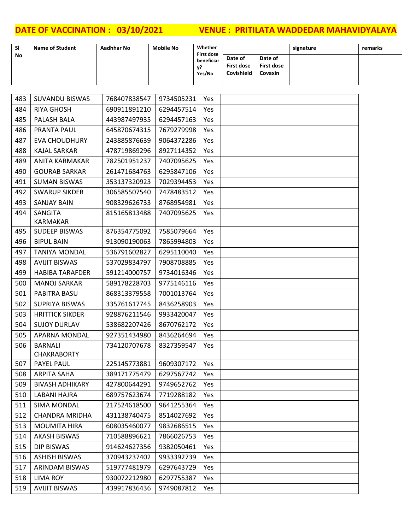| <b>SI</b> | <b>Name of Student</b> | Aadhhar No | <b>Mobile No</b> | Whether<br><b>First dose</b> |                                     |                                         | signature | remarks |
|-----------|------------------------|------------|------------------|------------------------------|-------------------------------------|-----------------------------------------|-----------|---------|
| <b>No</b> |                        |            |                  | beneficiar<br>v?<br>Yes/No   | Date of<br>First dose<br>Covishield | Date of<br><b>First dose</b><br>Covaxin |           |         |

| 483 | SUVANDU BISWAS             | 768407838547                | 9734505231 | Yes |  |  |
|-----|----------------------------|-----------------------------|------------|-----|--|--|
| 484 | <b>RIYA GHOSH</b>          | 690911891210                | 6294457514 | Yes |  |  |
| 485 | PALASH BALA                | 443987497935                | 6294457163 | Yes |  |  |
| 486 | PRANTA PAUL                | 645870674315                | 7679279998 | Yes |  |  |
| 487 | <b>EVA CHOUDHURY</b>       | 243885876639                | 9064372286 | Yes |  |  |
| 488 | <b>KAJAL SARKAR</b>        | 478719869296                | 8927114352 | Yes |  |  |
| 489 | <b>ANITA KARMAKAR</b>      | 782501951237                | 7407095625 | Yes |  |  |
| 490 | <b>GOURAB SARKAR</b>       | 261471684763                | 6295847106 | Yes |  |  |
| 491 | <b>SUMAN BISWAS</b>        | 353137320923                | 7029394453 | Yes |  |  |
| 492 | <b>SWARUP SIKDER</b>       | 306585507540                | 7478483512 | Yes |  |  |
| 493 | <b>SANJAY BAIN</b>         | 908329626733                | 8768954981 | Yes |  |  |
| 494 | SANGITA<br><b>KARMAKAR</b> | 815165813488                | 7407095625 | Yes |  |  |
| 495 | <b>SUDEEP BISWAS</b>       | 876354775092                | 7585079664 | Yes |  |  |
| 496 | <b>BIPUL BAIN</b>          | 913090190063                | 7865994803 | Yes |  |  |
| 497 | <b>TANIYA MONDAL</b>       | 536791602827                | 6295110040 | Yes |  |  |
| 498 | <b>AVIJIT BISWAS</b>       | 537029834797                | 7908708885 | Yes |  |  |
| 499 | <b>HABIBA TARAFDER</b>     | 591214000757                | 9734016346 | Yes |  |  |
| 500 | <b>MANOJ SARKAR</b>        | 589178228703                | 9775146116 | Yes |  |  |
| 501 | PABITRA BASU               | 868313379558                | 7001013764 | Yes |  |  |
| 502 | SUPRIYA BISWAS             | 335761617745                | 8436258903 | Yes |  |  |
| 503 | <b>HRITTICK SIKDER</b>     | 928876211546                | 9933420047 | Yes |  |  |
| 504 | <b>SUJOY DURLAV</b>        | 538682207426                | 8670762172 | Yes |  |  |
| 505 | APARNA MONDAL              | 927351434980                | 8436264694 | Yes |  |  |
| 506 | <b>BARNALI</b>             | 734120707678                | 8327359547 | Yes |  |  |
|     | <b>CHAKRABORTY</b>         |                             |            |     |  |  |
| 507 | PAYEL PAUL                 | 225145773881                | 9609307172 | Yes |  |  |
| 508 | <b>ARPITA SAHA</b>         | 389171775479                | 6297567742 | Yes |  |  |
| 509 | <b>BIVASH ADHIKARY</b>     | 427800644291                | 9749652762 | Yes |  |  |
|     | 510   LABANI HAJRA         | 689757623674 7719288182 Yes |            |     |  |  |
| 511 | <b>SIMA MONDAL</b>         | 217524618500                | 9641255364 | Yes |  |  |
| 512 | <b>CHANDRA MRIDHA</b>      | 431138740475                | 8514027692 | Yes |  |  |
| 513 | <b>MOUMITA HIRA</b>        | 608035460077                | 9832686515 | Yes |  |  |
| 514 | <b>AKASH BISWAS</b>        | 710588896621                | 7866026753 | Yes |  |  |
| 515 | <b>DIP BISWAS</b>          | 914624627356                | 9382050461 | Yes |  |  |
| 516 | <b>ASHISH BISWAS</b>       | 370943237402                | 9933392739 | Yes |  |  |
| 517 | ARINDAM BISWAS             | 519777481979                | 6297643729 | Yes |  |  |
| 518 | <b>LIMA ROY</b>            | 930072212980                | 6297755387 | Yes |  |  |
| 519 | <b>AVIJIT BISWAS</b>       | 439917836436                | 9749087812 | Yes |  |  |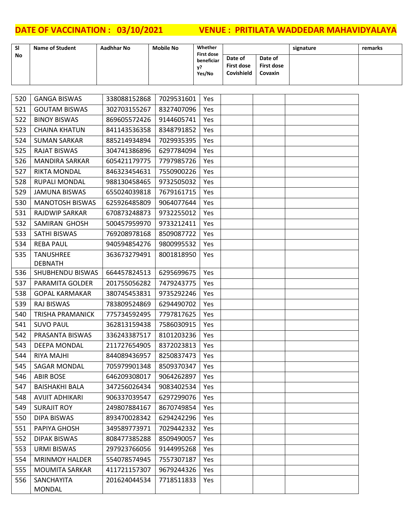| <b>SI</b> | <b>Name of Student</b> | Aadhhar No | <b>Mobile No</b> | Whether<br><b>First dose</b> |                                     |                                                | signature | remarks |
|-----------|------------------------|------------|------------------|------------------------------|-------------------------------------|------------------------------------------------|-----------|---------|
| No        |                        |            |                  | beneficiar<br>V?<br>Yes/No   | Date of<br>First dose<br>Covishield | Date of<br><b>First dose</b><br><b>Covaxin</b> |           |         |

| 520 | <b>GANGA BISWAS</b>         | 338088152868 | 7029531601 | Yes |  |  |
|-----|-----------------------------|--------------|------------|-----|--|--|
| 521 | <b>GOUTAM BISWAS</b>        | 302703155267 | 8327407096 | Yes |  |  |
| 522 | <b>BINOY BISWAS</b>         | 869605572426 | 9144605741 | Yes |  |  |
| 523 | <b>CHAINA KHATUN</b>        | 841143536358 | 8348791852 | Yes |  |  |
| 524 | <b>SUMAN SARKAR</b>         | 885214934894 | 7029935395 | Yes |  |  |
| 525 | <b>RAJAT BISWAS</b>         | 304741386896 | 6297784094 | Yes |  |  |
| 526 | <b>MANDIRA SARKAR</b>       | 605421179775 | 7797985726 | Yes |  |  |
| 527 | RIKTA MONDAL                | 846323454631 | 7550900226 | Yes |  |  |
| 528 | <b>RUPALI MONDAL</b>        | 988130458465 | 9732505032 | Yes |  |  |
| 529 | <b>JAMUNA BISWAS</b>        | 655024039818 | 7679161715 | Yes |  |  |
| 530 | <b>MANOTOSH BISWAS</b>      | 625926485809 | 9064077644 | Yes |  |  |
| 531 | <b>RAJDWIP SARKAR</b>       | 670873248873 | 9732255012 | Yes |  |  |
| 532 | SAMIRAN GHOSH               | 500457959970 | 9733212411 | Yes |  |  |
| 533 | SATHI BISWAS                | 769208978168 | 8509087722 | Yes |  |  |
| 534 | <b>REBA PAUL</b>            | 940594854276 | 9800995532 | Yes |  |  |
| 535 | <b>TANUSHREE</b>            | 363673279491 | 8001818950 | Yes |  |  |
|     | <b>DEBNATH</b>              |              |            |     |  |  |
| 536 | SHUBHENDU BISWAS            | 664457824513 | 6295699675 | Yes |  |  |
| 537 | PARAMITA GOLDER             | 201755056282 | 7479243775 | Yes |  |  |
| 538 | <b>GOPAL KARMAKAR</b>       | 380745453831 | 9735292246 | Yes |  |  |
| 539 | <b>RAJ BISWAS</b>           | 783809524869 | 6294490702 | Yes |  |  |
| 540 | <b>TRISHA PRAMANICK</b>     | 775734592495 | 7797817625 | Yes |  |  |
| 541 | <b>SUVO PAUL</b>            | 362813159438 | 7586030915 | Yes |  |  |
| 542 | PRASANTA BISWAS             | 336243387517 | 8101203236 | Yes |  |  |
| 543 | <b>DEEPA MONDAL</b>         | 211727654905 | 8372023813 | Yes |  |  |
| 544 | <b>RIYA MAJHI</b>           | 844089436957 | 8250837473 | Yes |  |  |
| 545 | SAGAR MONDAL                | 705979901348 | 8509370347 | Yes |  |  |
| 546 | <b>ABIR BOSE</b>            | 646209308017 | 9064262897 | Yes |  |  |
| 547 | <b>BAISHAKHI BALA</b>       | 347256026434 | 9083402534 | Yes |  |  |
| 548 | <b>AVIJIT ADHIKARI</b>      | 906337039547 | 6297299076 | Yes |  |  |
| 549 | <b>SURAJIT ROY</b>          | 249807884167 | 8670749854 | Yes |  |  |
| 550 | <b>DIPA BISWAS</b>          | 893470028342 | 6294242296 | Yes |  |  |
| 551 | PAPIYA GHOSH                | 349589773971 | 7029442332 | Yes |  |  |
| 552 | <b>DIPAK BISWAS</b>         | 808477385288 | 8509490057 | Yes |  |  |
| 553 | <b>URMI BISWAS</b>          | 297923766056 | 9144995268 | Yes |  |  |
| 554 | <b>MRINMOY HALDER</b>       | 554078574945 | 7557307187 | Yes |  |  |
| 555 | <b>MOUMITA SARKAR</b>       | 411721157307 | 9679244326 | Yes |  |  |
| 556 | SANCHAYITA<br><b>MONDAL</b> | 201624044534 | 7718511833 | Yes |  |  |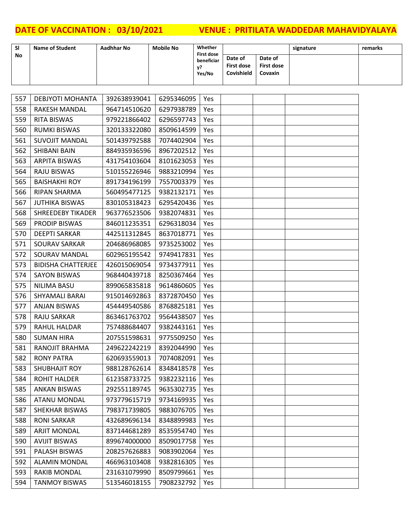| <b>SI</b> | <b>Name of Student</b> | Aadhhar No | <b>Mobile No</b> | Whether<br><b>First dose</b> |                                     |                                         | signature | remarks |
|-----------|------------------------|------------|------------------|------------------------------|-------------------------------------|-----------------------------------------|-----------|---------|
| <b>No</b> |                        |            |                  | beneficiar<br>v?<br>Yes/No   | Date of<br>First dose<br>Covishield | Date of<br><b>First dose</b><br>Covaxin |           |         |

| 557 | <b>DEBJYOTI MOHANTA</b>   | 392638939041 | 6295346095 | Yes        |  |  |
|-----|---------------------------|--------------|------------|------------|--|--|
| 558 | RAKESH MANDAL             | 964714510620 | 6297938789 | Yes        |  |  |
| 559 | RITA BISWAS               | 979221866402 | 6296597743 | Yes        |  |  |
| 560 | <b>RUMKI BISWAS</b>       | 320133322080 | 8509614599 | Yes        |  |  |
| 561 | <b>SUVOJIT MANDAL</b>     | 501439792588 | 7074402904 | Yes        |  |  |
| 562 | SHIBANI BAIN              | 884935936596 | 8967202512 | Yes        |  |  |
| 563 | <b>ARPITA BISWAS</b>      | 431754103604 | 8101623053 | <b>Yes</b> |  |  |
| 564 | <b>RAJU BISWAS</b>        | 510155226946 | 9883210994 | Yes        |  |  |
| 565 | <b>BAISHAKHI ROY</b>      | 891734196199 | 7557003379 | Yes        |  |  |
| 566 | RIPAN SHARMA              | 560495477125 | 9382132171 | Yes        |  |  |
| 567 | <b>JUTHIKA BISWAS</b>     | 830105318423 | 6295420436 | Yes        |  |  |
| 568 | <b>SHREEDEBY TIKADER</b>  | 963776523506 | 9382074831 | Yes        |  |  |
| 569 | PRODIP BISWAS             | 846011235351 | 6296318034 | Yes        |  |  |
| 570 | <b>DEEPTI SARKAR</b>      | 442511312845 | 8637018771 | Yes        |  |  |
| 571 | <b>SOURAV SARKAR</b>      | 204686968085 | 9735253002 | Yes        |  |  |
| 572 | SOURAV MANDAL             | 602965195542 | 9749417831 | Yes        |  |  |
| 573 | <b>BIDISHA CHATTERJEE</b> | 426015069054 | 9734377911 | Yes        |  |  |
| 574 | <b>SAYON BISWAS</b>       | 968440439718 | 8250367464 | Yes        |  |  |
| 575 | <b>NILIMA BASU</b>        | 899065835818 | 9614860605 | Yes        |  |  |
| 576 | SHYAMALI BARAI            | 915014692863 | 8372870450 | Yes        |  |  |
| 577 | <b>ANJAN BISWAS</b>       | 454449540586 | 8768825181 | Yes        |  |  |
| 578 | RAJU SARKAR               | 863461763702 | 9564438507 | Yes        |  |  |
| 579 | RAHUL HALDAR              | 757488684407 | 9382443161 | Yes        |  |  |
| 580 | <b>SUMAN HIRA</b>         | 207551598631 | 9775509250 | Yes        |  |  |
| 581 | RANOJIT BRAHMA            | 249622242219 | 8392044990 | Yes        |  |  |
| 582 | <b>RONY PATRA</b>         | 620693559013 | 7074082091 | Yes        |  |  |
| 583 | <b>SHUBHAJIT ROY</b>      | 988128762614 | 8348418578 | Yes        |  |  |
| 584 | <b>ROHIT HALDER</b>       | 612358733725 | 9382232116 | Yes        |  |  |
| 585 | <b>ANKAN BISWAS</b>       | 292551189745 | 9635302735 | Yes        |  |  |
| 586 | <b>ATANU MONDAL</b>       | 973779615719 | 9734169935 | Yes        |  |  |
| 587 | SHEKHAR BISWAS            | 798371739805 | 9883076705 | Yes        |  |  |
| 588 | <b>RONI SARKAR</b>        | 432689696134 | 8348899983 | Yes        |  |  |
| 589 | <b>ARJIT MONDAL</b>       | 837144681289 | 8535954740 | Yes        |  |  |
| 590 | <b>AVIJIT BISWAS</b>      | 899674000000 | 8509017758 | Yes        |  |  |
| 591 | PALASH BISWAS             | 208257626883 | 9083902064 | Yes        |  |  |
| 592 | <b>ALAMIN MONDAL</b>      | 466963103408 | 9382816305 | Yes        |  |  |
| 593 | <b>RAKIB MONDAL</b>       | 231631079990 | 8509799661 | Yes        |  |  |
| 594 | <b>TANMOY BISWAS</b>      | 513546018155 | 7908232792 | Yes        |  |  |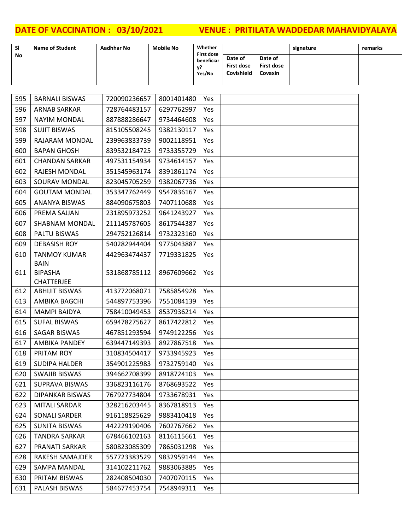| <b>SI</b> | <b>Name of Student</b> | Aadhhar No | <b>Mobile No</b> | Whether<br><b>First dose</b> |                                     |                                         | signature | remarks |
|-----------|------------------------|------------|------------------|------------------------------|-------------------------------------|-----------------------------------------|-----------|---------|
| <b>No</b> |                        |            |                  | beneficiar<br>v?<br>Yes/No   | Date of<br>First dose<br>Covishield | Date of<br>First dose<br><b>Covaxin</b> |           |         |

| 595 | <b>BARNALI BISWAS</b>               | 720090236657                  | 8001401480 | Yes |  |  |
|-----|-------------------------------------|-------------------------------|------------|-----|--|--|
| 596 | <b>ARNAB SARKAR</b>                 | 728764483157                  | 6297762997 | Yes |  |  |
| 597 | <b>NAYIM MONDAL</b>                 | 887888286647                  | 9734464608 | Yes |  |  |
| 598 | <b>SUJIT BISWAS</b>                 | 815105508245                  | 9382130117 | Yes |  |  |
| 599 | RAJARAM MONDAL                      | 239963833739                  | 9002118951 | Yes |  |  |
| 600 | <b>BAPAN GHOSH</b>                  | 839532184725                  | 9733355729 | Yes |  |  |
| 601 | <b>CHANDAN SARKAR</b>               | 497531154934                  | 9734614157 | Yes |  |  |
| 602 | RAJESH MONDAL                       | 351545963174                  | 8391861174 | Yes |  |  |
| 603 | SOURAV MONDAL                       | 823045705259                  | 9382067736 | Yes |  |  |
| 604 | <b>GOUTAM MONDAL</b>                | 353347762449                  | 9547836167 | Yes |  |  |
| 605 | ANANYA BISWAS                       | 884090675803                  | 7407110688 | Yes |  |  |
| 606 | PREMA SAJJAN                        | 231895973252                  | 9641243927 | Yes |  |  |
| 607 | SHABNAM MONDAL                      | 211145787605                  | 8617544387 | Yes |  |  |
| 608 | PALTU BISWAS                        | 294752126814                  | 9732323160 | Yes |  |  |
| 609 | <b>DEBASISH ROY</b>                 | 540282944404                  | 9775043887 | Yes |  |  |
| 610 | <b>TANMOY KUMAR</b><br><b>BAIN</b>  | 442963474437                  | 7719331825 | Yes |  |  |
| 611 | <b>BIPASHA</b><br><b>CHATTERJEE</b> | 531868785112                  | 8967609662 | Yes |  |  |
| 612 | <b>ABHIJIT BISWAS</b>               | 413772068071                  | 7585854928 | Yes |  |  |
| 613 | AMBIKA BAGCHI                       | 544897753396                  | 7551084139 | Yes |  |  |
| 614 | <b>MAMPI BAIDYA</b>                 | 758410049453                  | 8537936214 | Yes |  |  |
| 615 | <b>SUFAL BISWAS</b>                 | 659478275627                  | 8617422812 | Yes |  |  |
| 616 | SAGAR BISWAS                        | 467851293594                  | 9749122256 | Yes |  |  |
| 617 | <b>AMBIKA PANDEY</b>                | 639447149393                  | 8927867518 | Yes |  |  |
| 618 | PRITAM ROY                          | 310834504417                  | 9733945923 | Yes |  |  |
| 619 | <b>SUDIPA HALDER</b>                | 354901225983                  | 9732759140 | Yes |  |  |
| 620 | <b>SWAJIB BISWAS</b>                | 394662708399                  | 8918724103 | Yes |  |  |
| 621 | <b>SUPRAVA BISWAS</b>               | 336823116176                  | 8768693522 | Yes |  |  |
| 622 | DIPANKAR BISWAS                     | 767927734804 9733678931   Yes |            |     |  |  |
| 623 | <b>MITALI SARDAR</b>                | 328216203445                  | 8367818913 | Yes |  |  |
| 624 | SONALI SARDER                       | 916118825629                  | 9883410418 | Yes |  |  |
| 625 | <b>SUNITA BISWAS</b>                | 442229190406                  | 7602767662 | Yes |  |  |
| 626 | <b>TANDRA SARKAR</b>                | 678466102163                  | 8116115661 | Yes |  |  |
| 627 | PRANATI SARKAR                      | 580823085309                  | 7865031298 | Yes |  |  |
| 628 | RAKESH SAMAJDER                     | 557723383529                  | 9832959144 | Yes |  |  |
| 629 | SAMPA MANDAL                        | 314102211762                  | 9883063885 | Yes |  |  |
| 630 | PRITAM BISWAS                       | 282408504030                  | 7407070115 | Yes |  |  |
| 631 | PALASH BISWAS                       | 584677453754                  | 7548949311 | Yes |  |  |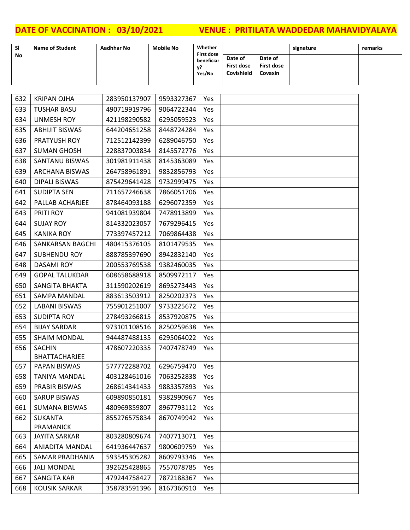| <b>SI</b> | <b>Name of Student</b> | Aadhhar No | <b>Mobile No</b> | Whether<br><b>First dose</b> |                                     |                                                | signature | remarks |
|-----------|------------------------|------------|------------------|------------------------------|-------------------------------------|------------------------------------------------|-----------|---------|
| <b>No</b> |                        |            |                  | beneficiar<br>V?<br>Yes/No   | Date of<br>First dose<br>Covishield | Date of<br><b>First dose</b><br><b>Covaxin</b> |           |         |

| 632 | <b>KRIPAN OJHA</b>     | 283950137907 | 9593327367 | Yes |  |  |
|-----|------------------------|--------------|------------|-----|--|--|
| 633 | <b>TUSHAR BASU</b>     | 490719919796 | 9064722344 | Yes |  |  |
| 634 | <b>UNMESH ROY</b>      | 421198290582 | 6295059523 | Yes |  |  |
| 635 | <b>ABHIJIT BISWAS</b>  | 644204651258 | 8448724284 | Yes |  |  |
| 636 | PRATYUSH ROY           | 712512142399 | 6289046750 | Yes |  |  |
| 637 | <b>SUMAN GHOSH</b>     | 228837003834 | 8145572776 | Yes |  |  |
| 638 | SANTANU BISWAS         | 301981911438 | 8145363089 | Yes |  |  |
| 639 | <b>ARCHANA BISWAS</b>  | 264758961891 | 9832856793 | Yes |  |  |
| 640 | DIPALI BISWAS          | 875429641428 | 9732999475 | Yes |  |  |
| 641 | <b>SUDIPTA SEN</b>     | 711657246638 | 7866051706 | Yes |  |  |
| 642 | PALLAB ACHARJEE        | 878464093188 | 6296072359 | Yes |  |  |
| 643 | PRITI ROY              | 941081939804 | 7478913899 | Yes |  |  |
| 644 | <b>SUJAY ROY</b>       | 814332023057 | 7679296415 | Yes |  |  |
| 645 | <b>KANIKA ROY</b>      | 773397457212 | 7069864438 | Yes |  |  |
| 646 | SANKARSAN BAGCHI       | 480415376105 | 8101479535 | Yes |  |  |
| 647 | <b>SUBHENDU ROY</b>    | 888785397690 | 8942832140 | Yes |  |  |
| 648 | <b>DASAMI ROY</b>      | 200553769538 | 9382460035 | Yes |  |  |
| 649 | <b>GOPAL TALUKDAR</b>  | 608658688918 | 8509972117 | Yes |  |  |
| 650 | SANGITA BHAKTA         | 311590202619 | 8695273443 | Yes |  |  |
| 651 | SAMPA MANDAL           | 883613503912 | 8250202373 | Yes |  |  |
| 652 | <b>LABANI BISWAS</b>   | 755901251007 | 9733225672 | Yes |  |  |
| 653 | <b>SUDIPTA ROY</b>     | 278493266815 | 8537920875 | Yes |  |  |
| 654 | <b>BIJAY SARDAR</b>    | 973101108516 | 8250259638 | Yes |  |  |
| 655 | <b>SHAIM MONDAL</b>    | 944487488135 | 6295064022 | Yes |  |  |
| 656 | <b>SACHIN</b>          | 478607220335 | 7407478749 | Yes |  |  |
|     | BHATTACHARJEE          |              |            |     |  |  |
| 657 | PAPAN BISWAS           | 577772288702 | 6296759470 | Yes |  |  |
| 658 | <b>TANIYA MANDAL</b>   | 403128461016 | 7063252838 | Yes |  |  |
| 659 | <b>PRABIR BISWAS</b>   | 268614341433 | 9883357893 | Yes |  |  |
| 660 | <b>SARUP BISWAS</b>    | 609890850181 | 9382990967 | Yes |  |  |
| 661 | <b>SUMANA BISWAS</b>   | 480969859807 | 8967793112 | Yes |  |  |
| 662 | <b>SUKANTA</b>         | 855276575834 | 8670749942 | Yes |  |  |
|     | PRAMANICK              |              |            |     |  |  |
| 663 | <b>JAYITA SARKAR</b>   | 803280809674 | 7407713071 | Yes |  |  |
| 664 | <b>ANIADITA MANDAL</b> | 641936447637 | 9800609759 | Yes |  |  |
| 665 | <b>SAMAR PRADHANIA</b> | 593545305282 | 8609793346 | Yes |  |  |
| 666 | <b>JALI MONDAL</b>     | 392625428865 | 7557078785 | Yes |  |  |
| 667 | <b>SANGITA KAR</b>     | 479244758427 | 7872188367 | Yes |  |  |
| 668 | <b>KOUSIK SARKAR</b>   | 358783591396 | 8167360910 | Yes |  |  |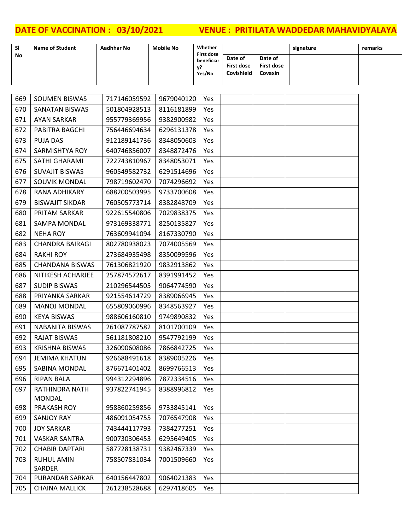| <b>SI</b> | <b>Name of Student</b> | Aadhhar No | <b>Mobile No</b> | Whether<br><b>First dose</b> |                                     |                                         | signature | remarks |
|-----------|------------------------|------------|------------------|------------------------------|-------------------------------------|-----------------------------------------|-----------|---------|
| <b>No</b> |                        |            |                  | beneficiar<br>v?<br>Yes/No   | Date of<br>First dose<br>Covishield | Date of<br><b>First dose</b><br>Covaxin |           |         |

| 670<br>SANATAN BISWAS<br>501804928513<br>8116181899<br>Yes<br>671<br><b>AYAN SARKAR</b><br>955779369956<br>9382900982<br>Yes<br>672<br>PABITRA BAGCHI<br>756446694634<br>6296131378<br>Yes<br>673<br><b>PUJA DAS</b><br>912189141736<br>8348050603<br>Yes<br>674<br>SARMISHTYA ROY<br>640746856007<br>8348872476<br>Yes<br>SATHI GHARAMI<br>675<br>722743810967<br>8348053071<br>Yes<br>676<br><b>SUVAJIT BISWAS</b><br>960549582732<br>6291514696<br>Yes<br>677<br>SOUVIK MONDAL<br>7074296692<br>798719602470<br>Yes<br>678<br>RANA ADHIKARY<br>688200503995<br>9733700608<br>Yes<br>679<br><b>BISWAJIT SIKDAR</b><br>760505773714<br>8382848709<br>Yes<br>680<br>PRITAM SARKAR<br>922615540806<br>7029838375<br>Yes<br>681<br>973169338771<br>8250135827<br>SAMPA MONDAL<br>Yes<br>682<br><b>NEHA ROY</b><br>763609941094<br>8167330790<br>Yes<br>683<br><b>CHANDRA BAIRAGI</b><br>802780938023<br>7074005569<br>Yes<br>684<br><b>RAKHI ROY</b><br>8350099596<br>273684935498<br>Yes<br>685<br><b>CHANDANA BISWAS</b><br>761306821920<br>9832913862<br>Yes<br>686<br>NITIKESH ACHARJEE<br>257874572617<br>8391991452<br>Yes<br>687<br><b>SUDIP BISWAS</b><br>210296544505<br>9064774590<br>Yes<br>688<br>PRIYANKA SARKAR<br>921554614729<br>8389066945<br>Yes<br>689<br><b>MANOJ MONDAL</b><br>655809060996<br>8348563927<br>Yes<br>690<br><b>KEYA BISWAS</b><br>988606160810<br>9749890832<br>Yes<br>691<br><b>NABANITA BISWAS</b><br>261087787582<br>8101700109<br>Yes<br>692<br><b>RAJAT BISWAS</b><br>9547792199<br>561181808210<br>Yes<br>693<br><b>KRISHNA BISWAS</b><br>326090608086<br>7866842725<br>Yes<br>694<br><b>JEMIMA KHATUN</b><br>926688491618<br>8389005226<br>Yes<br>8699766513<br>695<br>SABINA MONDAL<br>876671401402<br>Yes<br>696<br><b>RIPAN BALA</b><br>994312294896<br>7872334516<br>Yes<br>697<br>RATHINDRA NATH<br>937822741945<br>8388996812<br>Yes<br><b>MONDAL</b><br>698<br>PRAKASH ROY<br>958860259856<br>9733845141<br>Yes<br>699<br><b>SANJOY RAY</b><br>486091054755<br>7076547908<br>Yes<br><b>JOY SARKAR</b><br>743444117793<br>7384277251<br>700<br>Yes<br>701<br><b>VASKAR SANTRA</b><br>900730306453<br>6295649405<br>Yes<br>702<br><b>CHABIR DAPTARI</b><br>587728138731<br>9382467339<br>Yes<br><b>RUHUL AMIN</b><br>758507831034<br>7001509660<br>703<br>Yes<br><b>SARDER</b><br>704<br>9064021383<br>PURANDAR SARKAR<br>640156447802<br>Yes<br>705<br>261238528688<br>6297418605<br><b>CHAINA MALLICK</b><br>Yes | 669 | SOUMEN BISWAS | 717146059592 | 9679040120 | Yes |  |  |
|------------------------------------------------------------------------------------------------------------------------------------------------------------------------------------------------------------------------------------------------------------------------------------------------------------------------------------------------------------------------------------------------------------------------------------------------------------------------------------------------------------------------------------------------------------------------------------------------------------------------------------------------------------------------------------------------------------------------------------------------------------------------------------------------------------------------------------------------------------------------------------------------------------------------------------------------------------------------------------------------------------------------------------------------------------------------------------------------------------------------------------------------------------------------------------------------------------------------------------------------------------------------------------------------------------------------------------------------------------------------------------------------------------------------------------------------------------------------------------------------------------------------------------------------------------------------------------------------------------------------------------------------------------------------------------------------------------------------------------------------------------------------------------------------------------------------------------------------------------------------------------------------------------------------------------------------------------------------------------------------------------------------------------------------------------------------------------------------------------------------------------------------------------------------------------------------------------------------------------------------------------------------------------------------------------------------------------------------------------------------------------------------------------------------------------------------------------------|-----|---------------|--------------|------------|-----|--|--|
|                                                                                                                                                                                                                                                                                                                                                                                                                                                                                                                                                                                                                                                                                                                                                                                                                                                                                                                                                                                                                                                                                                                                                                                                                                                                                                                                                                                                                                                                                                                                                                                                                                                                                                                                                                                                                                                                                                                                                                                                                                                                                                                                                                                                                                                                                                                                                                                                                                                                  |     |               |              |            |     |  |  |
|                                                                                                                                                                                                                                                                                                                                                                                                                                                                                                                                                                                                                                                                                                                                                                                                                                                                                                                                                                                                                                                                                                                                                                                                                                                                                                                                                                                                                                                                                                                                                                                                                                                                                                                                                                                                                                                                                                                                                                                                                                                                                                                                                                                                                                                                                                                                                                                                                                                                  |     |               |              |            |     |  |  |
|                                                                                                                                                                                                                                                                                                                                                                                                                                                                                                                                                                                                                                                                                                                                                                                                                                                                                                                                                                                                                                                                                                                                                                                                                                                                                                                                                                                                                                                                                                                                                                                                                                                                                                                                                                                                                                                                                                                                                                                                                                                                                                                                                                                                                                                                                                                                                                                                                                                                  |     |               |              |            |     |  |  |
|                                                                                                                                                                                                                                                                                                                                                                                                                                                                                                                                                                                                                                                                                                                                                                                                                                                                                                                                                                                                                                                                                                                                                                                                                                                                                                                                                                                                                                                                                                                                                                                                                                                                                                                                                                                                                                                                                                                                                                                                                                                                                                                                                                                                                                                                                                                                                                                                                                                                  |     |               |              |            |     |  |  |
|                                                                                                                                                                                                                                                                                                                                                                                                                                                                                                                                                                                                                                                                                                                                                                                                                                                                                                                                                                                                                                                                                                                                                                                                                                                                                                                                                                                                                                                                                                                                                                                                                                                                                                                                                                                                                                                                                                                                                                                                                                                                                                                                                                                                                                                                                                                                                                                                                                                                  |     |               |              |            |     |  |  |
|                                                                                                                                                                                                                                                                                                                                                                                                                                                                                                                                                                                                                                                                                                                                                                                                                                                                                                                                                                                                                                                                                                                                                                                                                                                                                                                                                                                                                                                                                                                                                                                                                                                                                                                                                                                                                                                                                                                                                                                                                                                                                                                                                                                                                                                                                                                                                                                                                                                                  |     |               |              |            |     |  |  |
|                                                                                                                                                                                                                                                                                                                                                                                                                                                                                                                                                                                                                                                                                                                                                                                                                                                                                                                                                                                                                                                                                                                                                                                                                                                                                                                                                                                                                                                                                                                                                                                                                                                                                                                                                                                                                                                                                                                                                                                                                                                                                                                                                                                                                                                                                                                                                                                                                                                                  |     |               |              |            |     |  |  |
|                                                                                                                                                                                                                                                                                                                                                                                                                                                                                                                                                                                                                                                                                                                                                                                                                                                                                                                                                                                                                                                                                                                                                                                                                                                                                                                                                                                                                                                                                                                                                                                                                                                                                                                                                                                                                                                                                                                                                                                                                                                                                                                                                                                                                                                                                                                                                                                                                                                                  |     |               |              |            |     |  |  |
|                                                                                                                                                                                                                                                                                                                                                                                                                                                                                                                                                                                                                                                                                                                                                                                                                                                                                                                                                                                                                                                                                                                                                                                                                                                                                                                                                                                                                                                                                                                                                                                                                                                                                                                                                                                                                                                                                                                                                                                                                                                                                                                                                                                                                                                                                                                                                                                                                                                                  |     |               |              |            |     |  |  |
|                                                                                                                                                                                                                                                                                                                                                                                                                                                                                                                                                                                                                                                                                                                                                                                                                                                                                                                                                                                                                                                                                                                                                                                                                                                                                                                                                                                                                                                                                                                                                                                                                                                                                                                                                                                                                                                                                                                                                                                                                                                                                                                                                                                                                                                                                                                                                                                                                                                                  |     |               |              |            |     |  |  |
|                                                                                                                                                                                                                                                                                                                                                                                                                                                                                                                                                                                                                                                                                                                                                                                                                                                                                                                                                                                                                                                                                                                                                                                                                                                                                                                                                                                                                                                                                                                                                                                                                                                                                                                                                                                                                                                                                                                                                                                                                                                                                                                                                                                                                                                                                                                                                                                                                                                                  |     |               |              |            |     |  |  |
|                                                                                                                                                                                                                                                                                                                                                                                                                                                                                                                                                                                                                                                                                                                                                                                                                                                                                                                                                                                                                                                                                                                                                                                                                                                                                                                                                                                                                                                                                                                                                                                                                                                                                                                                                                                                                                                                                                                                                                                                                                                                                                                                                                                                                                                                                                                                                                                                                                                                  |     |               |              |            |     |  |  |
|                                                                                                                                                                                                                                                                                                                                                                                                                                                                                                                                                                                                                                                                                                                                                                                                                                                                                                                                                                                                                                                                                                                                                                                                                                                                                                                                                                                                                                                                                                                                                                                                                                                                                                                                                                                                                                                                                                                                                                                                                                                                                                                                                                                                                                                                                                                                                                                                                                                                  |     |               |              |            |     |  |  |
|                                                                                                                                                                                                                                                                                                                                                                                                                                                                                                                                                                                                                                                                                                                                                                                                                                                                                                                                                                                                                                                                                                                                                                                                                                                                                                                                                                                                                                                                                                                                                                                                                                                                                                                                                                                                                                                                                                                                                                                                                                                                                                                                                                                                                                                                                                                                                                                                                                                                  |     |               |              |            |     |  |  |
|                                                                                                                                                                                                                                                                                                                                                                                                                                                                                                                                                                                                                                                                                                                                                                                                                                                                                                                                                                                                                                                                                                                                                                                                                                                                                                                                                                                                                                                                                                                                                                                                                                                                                                                                                                                                                                                                                                                                                                                                                                                                                                                                                                                                                                                                                                                                                                                                                                                                  |     |               |              |            |     |  |  |
|                                                                                                                                                                                                                                                                                                                                                                                                                                                                                                                                                                                                                                                                                                                                                                                                                                                                                                                                                                                                                                                                                                                                                                                                                                                                                                                                                                                                                                                                                                                                                                                                                                                                                                                                                                                                                                                                                                                                                                                                                                                                                                                                                                                                                                                                                                                                                                                                                                                                  |     |               |              |            |     |  |  |
|                                                                                                                                                                                                                                                                                                                                                                                                                                                                                                                                                                                                                                                                                                                                                                                                                                                                                                                                                                                                                                                                                                                                                                                                                                                                                                                                                                                                                                                                                                                                                                                                                                                                                                                                                                                                                                                                                                                                                                                                                                                                                                                                                                                                                                                                                                                                                                                                                                                                  |     |               |              |            |     |  |  |
|                                                                                                                                                                                                                                                                                                                                                                                                                                                                                                                                                                                                                                                                                                                                                                                                                                                                                                                                                                                                                                                                                                                                                                                                                                                                                                                                                                                                                                                                                                                                                                                                                                                                                                                                                                                                                                                                                                                                                                                                                                                                                                                                                                                                                                                                                                                                                                                                                                                                  |     |               |              |            |     |  |  |
|                                                                                                                                                                                                                                                                                                                                                                                                                                                                                                                                                                                                                                                                                                                                                                                                                                                                                                                                                                                                                                                                                                                                                                                                                                                                                                                                                                                                                                                                                                                                                                                                                                                                                                                                                                                                                                                                                                                                                                                                                                                                                                                                                                                                                                                                                                                                                                                                                                                                  |     |               |              |            |     |  |  |
|                                                                                                                                                                                                                                                                                                                                                                                                                                                                                                                                                                                                                                                                                                                                                                                                                                                                                                                                                                                                                                                                                                                                                                                                                                                                                                                                                                                                                                                                                                                                                                                                                                                                                                                                                                                                                                                                                                                                                                                                                                                                                                                                                                                                                                                                                                                                                                                                                                                                  |     |               |              |            |     |  |  |
|                                                                                                                                                                                                                                                                                                                                                                                                                                                                                                                                                                                                                                                                                                                                                                                                                                                                                                                                                                                                                                                                                                                                                                                                                                                                                                                                                                                                                                                                                                                                                                                                                                                                                                                                                                                                                                                                                                                                                                                                                                                                                                                                                                                                                                                                                                                                                                                                                                                                  |     |               |              |            |     |  |  |
|                                                                                                                                                                                                                                                                                                                                                                                                                                                                                                                                                                                                                                                                                                                                                                                                                                                                                                                                                                                                                                                                                                                                                                                                                                                                                                                                                                                                                                                                                                                                                                                                                                                                                                                                                                                                                                                                                                                                                                                                                                                                                                                                                                                                                                                                                                                                                                                                                                                                  |     |               |              |            |     |  |  |
|                                                                                                                                                                                                                                                                                                                                                                                                                                                                                                                                                                                                                                                                                                                                                                                                                                                                                                                                                                                                                                                                                                                                                                                                                                                                                                                                                                                                                                                                                                                                                                                                                                                                                                                                                                                                                                                                                                                                                                                                                                                                                                                                                                                                                                                                                                                                                                                                                                                                  |     |               |              |            |     |  |  |
|                                                                                                                                                                                                                                                                                                                                                                                                                                                                                                                                                                                                                                                                                                                                                                                                                                                                                                                                                                                                                                                                                                                                                                                                                                                                                                                                                                                                                                                                                                                                                                                                                                                                                                                                                                                                                                                                                                                                                                                                                                                                                                                                                                                                                                                                                                                                                                                                                                                                  |     |               |              |            |     |  |  |
|                                                                                                                                                                                                                                                                                                                                                                                                                                                                                                                                                                                                                                                                                                                                                                                                                                                                                                                                                                                                                                                                                                                                                                                                                                                                                                                                                                                                                                                                                                                                                                                                                                                                                                                                                                                                                                                                                                                                                                                                                                                                                                                                                                                                                                                                                                                                                                                                                                                                  |     |               |              |            |     |  |  |
|                                                                                                                                                                                                                                                                                                                                                                                                                                                                                                                                                                                                                                                                                                                                                                                                                                                                                                                                                                                                                                                                                                                                                                                                                                                                                                                                                                                                                                                                                                                                                                                                                                                                                                                                                                                                                                                                                                                                                                                                                                                                                                                                                                                                                                                                                                                                                                                                                                                                  |     |               |              |            |     |  |  |
|                                                                                                                                                                                                                                                                                                                                                                                                                                                                                                                                                                                                                                                                                                                                                                                                                                                                                                                                                                                                                                                                                                                                                                                                                                                                                                                                                                                                                                                                                                                                                                                                                                                                                                                                                                                                                                                                                                                                                                                                                                                                                                                                                                                                                                                                                                                                                                                                                                                                  |     |               |              |            |     |  |  |
|                                                                                                                                                                                                                                                                                                                                                                                                                                                                                                                                                                                                                                                                                                                                                                                                                                                                                                                                                                                                                                                                                                                                                                                                                                                                                                                                                                                                                                                                                                                                                                                                                                                                                                                                                                                                                                                                                                                                                                                                                                                                                                                                                                                                                                                                                                                                                                                                                                                                  |     |               |              |            |     |  |  |
|                                                                                                                                                                                                                                                                                                                                                                                                                                                                                                                                                                                                                                                                                                                                                                                                                                                                                                                                                                                                                                                                                                                                                                                                                                                                                                                                                                                                                                                                                                                                                                                                                                                                                                                                                                                                                                                                                                                                                                                                                                                                                                                                                                                                                                                                                                                                                                                                                                                                  |     |               |              |            |     |  |  |
|                                                                                                                                                                                                                                                                                                                                                                                                                                                                                                                                                                                                                                                                                                                                                                                                                                                                                                                                                                                                                                                                                                                                                                                                                                                                                                                                                                                                                                                                                                                                                                                                                                                                                                                                                                                                                                                                                                                                                                                                                                                                                                                                                                                                                                                                                                                                                                                                                                                                  |     |               |              |            |     |  |  |
|                                                                                                                                                                                                                                                                                                                                                                                                                                                                                                                                                                                                                                                                                                                                                                                                                                                                                                                                                                                                                                                                                                                                                                                                                                                                                                                                                                                                                                                                                                                                                                                                                                                                                                                                                                                                                                                                                                                                                                                                                                                                                                                                                                                                                                                                                                                                                                                                                                                                  |     |               |              |            |     |  |  |
|                                                                                                                                                                                                                                                                                                                                                                                                                                                                                                                                                                                                                                                                                                                                                                                                                                                                                                                                                                                                                                                                                                                                                                                                                                                                                                                                                                                                                                                                                                                                                                                                                                                                                                                                                                                                                                                                                                                                                                                                                                                                                                                                                                                                                                                                                                                                                                                                                                                                  |     |               |              |            |     |  |  |
|                                                                                                                                                                                                                                                                                                                                                                                                                                                                                                                                                                                                                                                                                                                                                                                                                                                                                                                                                                                                                                                                                                                                                                                                                                                                                                                                                                                                                                                                                                                                                                                                                                                                                                                                                                                                                                                                                                                                                                                                                                                                                                                                                                                                                                                                                                                                                                                                                                                                  |     |               |              |            |     |  |  |
|                                                                                                                                                                                                                                                                                                                                                                                                                                                                                                                                                                                                                                                                                                                                                                                                                                                                                                                                                                                                                                                                                                                                                                                                                                                                                                                                                                                                                                                                                                                                                                                                                                                                                                                                                                                                                                                                                                                                                                                                                                                                                                                                                                                                                                                                                                                                                                                                                                                                  |     |               |              |            |     |  |  |
|                                                                                                                                                                                                                                                                                                                                                                                                                                                                                                                                                                                                                                                                                                                                                                                                                                                                                                                                                                                                                                                                                                                                                                                                                                                                                                                                                                                                                                                                                                                                                                                                                                                                                                                                                                                                                                                                                                                                                                                                                                                                                                                                                                                                                                                                                                                                                                                                                                                                  |     |               |              |            |     |  |  |
|                                                                                                                                                                                                                                                                                                                                                                                                                                                                                                                                                                                                                                                                                                                                                                                                                                                                                                                                                                                                                                                                                                                                                                                                                                                                                                                                                                                                                                                                                                                                                                                                                                                                                                                                                                                                                                                                                                                                                                                                                                                                                                                                                                                                                                                                                                                                                                                                                                                                  |     |               |              |            |     |  |  |
|                                                                                                                                                                                                                                                                                                                                                                                                                                                                                                                                                                                                                                                                                                                                                                                                                                                                                                                                                                                                                                                                                                                                                                                                                                                                                                                                                                                                                                                                                                                                                                                                                                                                                                                                                                                                                                                                                                                                                                                                                                                                                                                                                                                                                                                                                                                                                                                                                                                                  |     |               |              |            |     |  |  |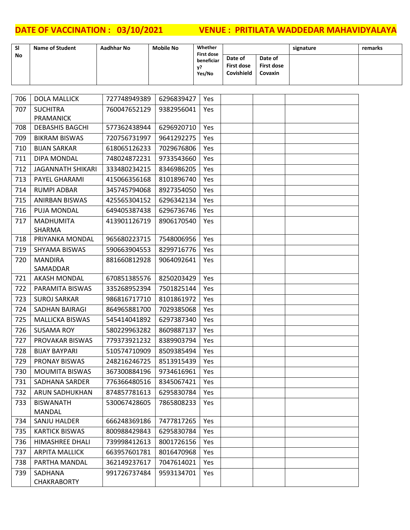| <b>SI</b> | <b>Name of Student</b> | Aadhhar No | <b>Mobile No</b> | Whether<br><b>First dose</b> |                                            |                                  | signature | remarks |
|-----------|------------------------|------------|------------------|------------------------------|--------------------------------------------|----------------------------------|-----------|---------|
| No        |                        |            |                  | beneficiar<br>- 72<br>Yes/No | Date of<br><b>First dose</b><br>Covishield | Date of<br>First dose<br>Covaxin |           |         |

| 706 | <b>DOLA MALLICK</b>        | 727748949389 | 6296839427 | Yes |  |  |
|-----|----------------------------|--------------|------------|-----|--|--|
| 707 | <b>SUCHITRA</b>            | 760047652129 | 9382956041 | Yes |  |  |
|     | <b>PRAMANICK</b>           |              |            |     |  |  |
| 708 | <b>DEBASHIS BAGCHI</b>     | 577362438944 | 6296920710 | Yes |  |  |
| 709 | <b>BIKRAM BISWAS</b>       | 720756731997 | 9641292275 | Yes |  |  |
| 710 | <b>BIJAN SARKAR</b>        | 618065126233 | 7029676806 | Yes |  |  |
| 711 | DIPA MONDAL                | 748024872231 | 9733543660 | Yes |  |  |
| 712 | <b>JAGANNATH SHIKARI</b>   | 333480234215 | 8346986205 | Yes |  |  |
| 713 | PAYEL GHARAMI              | 415066356168 | 8101896740 | Yes |  |  |
| 714 | <b>RUMPI ADBAR</b>         | 345745794068 | 8927354050 | Yes |  |  |
| 715 | <b>ANIRBAN BISWAS</b>      | 425565304152 | 6296342134 | Yes |  |  |
| 716 | PUJA MONDAL                | 649405387438 | 6296736746 | Yes |  |  |
| 717 | <b>MADHUMITA</b>           | 413901126719 | 8906170540 | Yes |  |  |
| 718 | SHARMA<br>PRIYANKA MONDAL  | 965680223715 | 7548006956 | Yes |  |  |
| 719 | SHYAMA BISWAS              | 590663904553 | 8299716776 | Yes |  |  |
|     |                            |              |            |     |  |  |
| 720 | <b>MANDIRA</b><br>SAMADDAR | 881660812928 | 9064092641 | Yes |  |  |
| 721 | <b>AKASH MONDAL</b>        | 670851385576 | 8250203429 | Yes |  |  |
| 722 | PARAMITA BISWAS            | 335268952394 | 7501825144 | Yes |  |  |
| 723 | <b>SUROJ SARKAR</b>        | 986816717710 | 8101861972 | Yes |  |  |
| 724 | SADHAN BAIRAGI             | 864965881700 | 7029385068 | Yes |  |  |
| 725 | <b>MALLICKA BISWAS</b>     | 545414041892 | 6297387340 | Yes |  |  |
| 726 | <b>SUSAMA ROY</b>          | 580229963282 | 8609887137 | Yes |  |  |
| 727 | PROVAKAR BISWAS            | 779373921232 | 8389903794 | Yes |  |  |
| 728 | <b>BIJAY BAYPARI</b>       | 510574710909 | 8509385494 | Yes |  |  |
| 729 | PRONAY BISWAS              | 248216246725 | 8513915439 | Yes |  |  |
| 730 | <b>MOUMITA BISWAS</b>      | 367300884196 | 9734616961 | Yes |  |  |
| 731 | SADHANA SARDER             | 776366480516 | 8345067421 | Yes |  |  |
| 732 | ARUN SADHUKHAN             | 874857781613 | 6295830784 | Yes |  |  |
| 733 | <b>BISWANATH</b>           | 530067428605 | 7865808233 | Yes |  |  |
|     | MANDAL                     |              |            |     |  |  |
| 734 | SANJU HALDER               | 666248369186 | 7477817265 | Yes |  |  |
| 735 | <b>KARTICK BISWAS</b>      | 800988429843 | 6295830784 | Yes |  |  |
| 736 | HIMASHREE DHALI            | 739998412613 | 8001726156 | Yes |  |  |
| 737 | <b>ARPITA MALLICK</b>      | 663957601781 | 8016470968 | Yes |  |  |
| 738 | PARTHA MANDAL              | 362149237617 | 7047614021 | Yes |  |  |
| 739 | SADHANA                    | 991726737484 | 9593134701 | Yes |  |  |
|     | <b>CHAKRABORTY</b>         |              |            |     |  |  |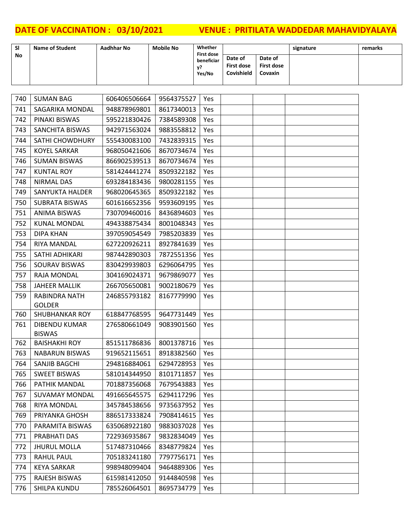| <b>SI</b> | <b>Name of Student</b> | Aadhhar No | <b>Mobile No</b> | Whether<br><b>First dose</b> |                                            |                                  | signature | remarks |
|-----------|------------------------|------------|------------------|------------------------------|--------------------------------------------|----------------------------------|-----------|---------|
| No        |                        |            |                  | beneficiar<br>v?<br>Yes/No   | Date of<br>First dose<br><b>Covishield</b> | Date of<br>First dose<br>Covaxin |           |         |

| 740 | <b>SUMAN BAG</b>       | 606406506664 | 9564375527     | Yes |  |  |
|-----|------------------------|--------------|----------------|-----|--|--|
| 741 | SAGARIKA MONDAL        | 948878969801 | 8617340013     | Yes |  |  |
| 742 | PINAKI BISWAS          | 595221830426 | 7384589308     | Yes |  |  |
| 743 | SANCHITA BISWAS        | 942971563024 | 9883558812     | Yes |  |  |
| 744 | <b>SATHI CHOWDHURY</b> | 555430083100 | 7432839315     | Yes |  |  |
| 745 | <b>KOYEL SARKAR</b>    | 968050421606 | 8670734674     | Yes |  |  |
| 746 | <b>SUMAN BISWAS</b>    | 866902539513 | 8670734674     | Yes |  |  |
| 747 | <b>KUNTAL ROY</b>      | 581424441274 | 8509322182     | Yes |  |  |
| 748 | <b>NIRMAL DAS</b>      | 693284183436 | 9800281155     | Yes |  |  |
| 749 | <b>SANYUKTA HALDER</b> | 968020645365 | 8509322182     | Yes |  |  |
| 750 | <b>SUBRATA BISWAS</b>  | 601616652356 | 9593609195     | Yes |  |  |
| 751 | <b>ANIMA BISWAS</b>    | 730709460016 | 8436894603     | Yes |  |  |
| 752 | <b>KUNAL MONDAL</b>    | 494338875434 | 8001048343     | Yes |  |  |
| 753 | <b>DIPA KHAN</b>       | 397059054549 | 7985203839     | Yes |  |  |
| 754 | RIYA MANDAL            | 627220926211 | 8927841639     | Yes |  |  |
| 755 | SATHI ADHIKARI         | 987442890303 | 7872551356     | Yes |  |  |
| 756 | SOURAV BISWAS          | 830429939803 | 6296064795     | Yes |  |  |
| 757 | RAJA MONDAL            | 304169024371 | 9679869077     | Yes |  |  |
| 758 | <b>JAHEER MALLIK</b>   | 266705650081 | 9002180679     | Yes |  |  |
| 759 | RABINDRA NATH          | 246855793182 | 8167779990     | Yes |  |  |
|     | <b>GOLDER</b>          |              |                |     |  |  |
| 760 | <b>SHUBHANKAR ROY</b>  | 618847768595 | 9647731449     | Yes |  |  |
| 761 | <b>DIBENDU KUMAR</b>   | 276580661049 | 9083901560     | Yes |  |  |
|     | <b>BISWAS</b>          |              |                |     |  |  |
| 762 | <b>BAISHAKHI ROY</b>   | 851511786836 | 8001378716     | Yes |  |  |
| 763 | <b>NABARUN BISWAS</b>  | 919652115651 | 8918382560     | Yes |  |  |
| 764 | SANJIB BAGCHI          | 294816884061 | 6294728953     | Yes |  |  |
| 765 | <b>SWEET BISWAS</b>    | 581014344950 | 8101711857     | Yes |  |  |
| 766 | PATHIK MANDAL          | 701887356068 | 7679543883     | Yes |  |  |
| 767 | <b>SUVAMAY MONDAL</b>  | 491665645575 | 6294117296 Yes |     |  |  |
| 768 | <b>RIYA MONDAL</b>     | 345784538656 | 9735637952     | Yes |  |  |
| 769 | PRIYANKA GHOSH         | 886517333824 | 7908414615     | Yes |  |  |
| 770 | PARAMITA BISWAS        | 635068922180 | 9883037028     | Yes |  |  |
| 771 | PRABHATI DAS           | 722936935867 | 9832834049     | Yes |  |  |
| 772 | <b>JHURUL MOLLA</b>    | 517487310466 | 8348779824     | Yes |  |  |
| 773 | <b>RAHUL PAUL</b>      | 705183241180 | 7797756171     | Yes |  |  |
| 774 | <b>KEYA SARKAR</b>     | 998948099404 | 9464889306     | Yes |  |  |
| 775 | RAJESH BISWAS          | 615981412050 | 9144840598     | Yes |  |  |
| 776 | SHILPA KUNDU           | 785526064501 | 8695734779     | Yes |  |  |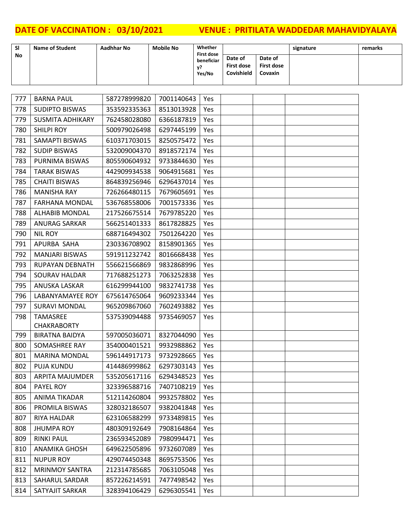| <b>SI</b> | <b>Name of Student</b> | Aadhhar No | <b>Mobile No</b> | Whether<br><b>First dose</b> |                                     |                                                | signature | remarks |
|-----------|------------------------|------------|------------------|------------------------------|-------------------------------------|------------------------------------------------|-----------|---------|
| No        |                        |            |                  | beneficiar<br>V?<br>Yes/No   | Date of<br>First dose<br>Covishield | Date of<br><b>First dose</b><br><b>Covaxin</b> |           |         |

| 777 | <b>BARNA PAUL</b>       | 587278999820 | 7001140643 | Yes |  |  |
|-----|-------------------------|--------------|------------|-----|--|--|
| 778 | <b>SUDIPTO BISWAS</b>   | 353592335363 | 8513013928 | Yes |  |  |
| 779 | <b>SUSMITA ADHIKARY</b> | 762458028080 | 6366187819 | Yes |  |  |
| 780 | <b>SHILPI ROY</b>       | 500979026498 | 6297445199 | Yes |  |  |
| 781 | SAMAPTI BISWAS          | 610371703015 | 8250575472 | Yes |  |  |
| 782 | <b>SUDIP BISWAS</b>     | 532009004370 | 8918572174 | Yes |  |  |
| 783 | PURNIMA BISWAS          | 805590604932 | 9733844630 | Yes |  |  |
| 784 | <b>TARAK BISWAS</b>     | 442909934538 | 9064915681 | Yes |  |  |
| 785 | <b>CHAITI BISWAS</b>    | 864839256946 | 6296437014 | Yes |  |  |
| 786 | <b>MANISHA RAY</b>      | 726266480115 | 7679605691 | Yes |  |  |
| 787 | <b>FARHANA MONDAL</b>   | 536768558006 | 7001573336 | Yes |  |  |
| 788 | <b>ALHABIB MONDAL</b>   | 217526675514 | 7679785220 | Yes |  |  |
| 789 | <b>ANURAG SARKAR</b>    | 566251401333 | 8617828825 | Yes |  |  |
| 790 | <b>NIL ROY</b>          | 688716494302 | 7501264220 | Yes |  |  |
| 791 | APURBA SAHA             | 230336708902 | 8158901365 | Yes |  |  |
| 792 | <b>MANJARI BISWAS</b>   | 591911232742 | 8016668438 | Yes |  |  |
| 793 | RUPAYAN DEBNATH         | 556621566869 | 9832868996 | Yes |  |  |
| 794 | <b>SOURAV HALDAR</b>    | 717688251273 | 7063252838 | Yes |  |  |
| 795 | ANUSKA LASKAR           | 616299944100 | 9832741738 | Yes |  |  |
| 796 | LABANYAMAYEE ROY        | 675614765064 | 9609233344 | Yes |  |  |
| 797 | <b>SURAVI MONDAL</b>    | 965209867060 | 7602493882 | Yes |  |  |
| 798 | <b>TAMASREE</b>         | 537539094488 | 9735469057 | Yes |  |  |
|     | <b>CHAKRABORTY</b>      |              |            |     |  |  |
| 799 | <b>BIRATNA BAIDYA</b>   | 597005036071 | 8327044090 | Yes |  |  |
| 800 | SOMASHREE RAY           | 354000401521 | 9932988862 | Yes |  |  |
| 801 | <b>MARINA MONDAL</b>    | 596144917173 | 9732928665 | Yes |  |  |
| 802 | <b>PUJA KUNDU</b>       | 414486999862 | 6297303143 | Yes |  |  |
| 803 | <b>ARPITA MAJUMDER</b>  | 535205617116 | 6294348523 | Yes |  |  |
| 804 | PAYEL ROY               | 323396588716 | 7407108219 | Yes |  |  |
| 805 | ANIMA TIKADAR           | 512114260804 | 9932578802 | Yes |  |  |
| 806 | PROMILA BISWAS          | 328032186507 | 9382041848 | Yes |  |  |
| 807 | RIYA HALDAR             | 623106588299 | 9733489815 | Yes |  |  |
| 808 | <b>JHUMPA ROY</b>       | 480309192649 | 7908164864 | Yes |  |  |
| 809 | <b>RINKI PAUL</b>       | 236593452089 | 7980994471 | Yes |  |  |
| 810 | <b>ANAMIKA GHOSH</b>    | 649622505896 | 9732607089 | Yes |  |  |
| 811 | <b>NUPUR ROY</b>        | 429074450348 | 8695753506 | Yes |  |  |
| 812 | <b>MRINMOY SANTRA</b>   | 212314785685 | 7063105048 | Yes |  |  |
| 813 | SAHARUL SARDAR          | 857226214591 | 7477498542 | Yes |  |  |
| 814 | SATYAJIT SARKAR         | 328394106429 | 6296305541 | Yes |  |  |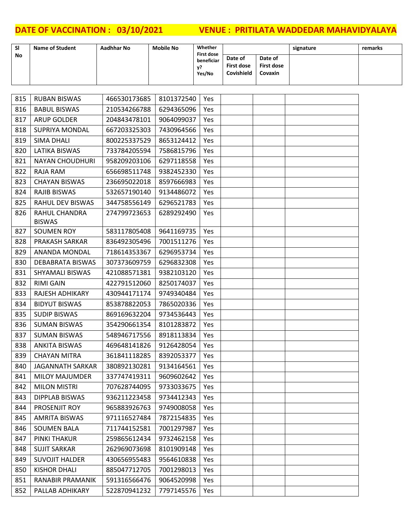| <b>SI</b> | <b>Name of Student</b> | Aadhhar No | <b>Mobile No</b> | Whether<br><b>First dose</b> |                                     |                                         | signature | remarks |
|-----------|------------------------|------------|------------------|------------------------------|-------------------------------------|-----------------------------------------|-----------|---------|
| <b>No</b> |                        |            |                  | beneficiar<br>v?<br>Yes/No   | Date of<br>First dose<br>Covishield | Date of<br><b>First dose</b><br>Covaxin |           |         |

| 815 | <b>RUBAN BISWAS</b>            | 466530173685 | 8101372540 | Yes        |  |  |
|-----|--------------------------------|--------------|------------|------------|--|--|
| 816 | <b>BABUL BISWAS</b>            | 210534266788 | 6294365096 | Yes        |  |  |
| 817 | <b>ARUP GOLDER</b>             | 204843478101 | 9064099037 | Yes        |  |  |
| 818 | <b>SUPRIYA MONDAL</b>          | 667203325303 | 7430964566 | Yes        |  |  |
| 819 | <b>SIMA DHALI</b>              | 800225337529 | 8653124412 | Yes        |  |  |
| 820 | LATIKA BISWAS                  | 733784205594 | 7586815796 | Yes        |  |  |
| 821 | <b>NAYAN CHOUDHURI</b>         | 958209203106 | 6297118558 | Yes        |  |  |
| 822 | RAJA RAM                       | 656698511748 | 9382452330 | Yes        |  |  |
| 823 | <b>CHAYAN BISWAS</b>           | 236695022018 | 8597666983 | Yes        |  |  |
| 824 | <b>RAJIB BISWAS</b>            | 532657190140 | 9134486072 | Yes        |  |  |
| 825 | RAHUL DEV BISWAS               | 344758556149 | 6296521783 | Yes        |  |  |
| 826 | RAHUL CHANDRA<br><b>BISWAS</b> | 274799723653 | 6289292490 | Yes        |  |  |
| 827 | SOUMEN ROY                     | 583117805408 | 9641169735 | <b>Yes</b> |  |  |
| 828 | PRAKASH SARKAR                 | 836492305496 | 7001511276 | Yes        |  |  |
| 829 | ANANDA MONDAL                  | 718614353367 | 6296953734 | Yes        |  |  |
| 830 | <b>DEBABRATA BISWAS</b>        | 307373609759 | 6296832308 | Yes        |  |  |
| 831 | SHYAMALI BISWAS                | 421088571381 | 9382103120 | Yes        |  |  |
| 832 | <b>RIMI GAIN</b>               | 422791512060 | 8250174037 | Yes        |  |  |
| 833 | RAJESH ADHIKARY                | 430944171174 | 9749340484 | Yes        |  |  |
| 834 | <b>BIDYUT BISWAS</b>           | 853878822053 | 7865020336 | Yes        |  |  |
| 835 | <b>SUDIP BISWAS</b>            | 869169632204 | 9734536443 | Yes        |  |  |
| 836 | <b>SUMAN BISWAS</b>            | 354290661354 | 8101283872 | Yes        |  |  |
| 837 | <b>SUMAN BISWAS</b>            | 548946717556 | 8918113834 | Yes        |  |  |
| 838 | <b>ANKITA BISWAS</b>           | 469648141826 | 9126428054 | Yes        |  |  |
| 839 | <b>CHAYAN MITRA</b>            | 361841118285 | 8392053377 | Yes        |  |  |
| 840 | <b>JAGANNATH SARKAR</b>        | 380892130281 | 9134164561 | Yes        |  |  |
| 841 | <b>MILOY MAJUMDER</b>          | 337747419311 | 9609602642 | Yes        |  |  |
| 842 | <b>MILON MISTRI</b>            | 707628744095 | 9733033675 | Yes        |  |  |
| 843 | <b>DIPPLAB BISWAS</b>          | 936211223458 | 9734412343 | Yes        |  |  |
| 844 | PROSENJIT ROY                  | 965883926763 | 9749008058 | Yes        |  |  |
| 845 | AMRITA BISWAS                  | 971116527484 | 7872154835 | Yes        |  |  |
| 846 | <b>SOUMEN BALA</b>             | 711744152581 | 7001297987 | Yes        |  |  |
| 847 | PINKI THAKUR                   | 259865612434 | 9732462158 | Yes        |  |  |
| 848 | <b>SUJIT SARKAR</b>            | 262969073698 | 8101909148 | Yes        |  |  |
| 849 | <b>SUVOJIT HALDER</b>          | 430656955483 | 9564610838 | Yes        |  |  |
| 850 | <b>KISHOR DHALI</b>            | 885047712705 | 7001298013 | Yes        |  |  |
| 851 | RANABIR PRAMANIK               | 591316566476 | 9064520998 | Yes        |  |  |
| 852 | PALLAB ADHIKARY                | 522870941232 | 7797145576 | Yes        |  |  |